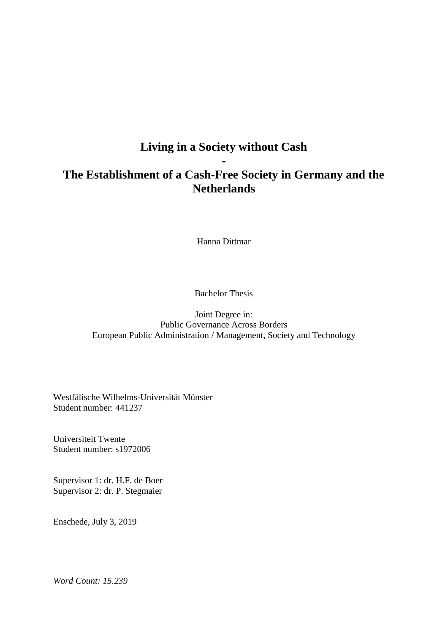# **Living in a Society without Cash -**

# **The Establishment of a Cash-Free Society in Germany and the Netherlands**

Hanna Dittmar

Bachelor Thesis

Joint Degree in: Public Governance Across Borders European Public Administration / Management, Society and Technology

Westfälische Wilhelms-Universität Münster Student number: 441237

Universiteit Twente Student number: s1972006

Supervisor 1: dr. H.F. de Boer Supervisor 2: dr. P. Stegmaier

Enschede, July 3, 2019

*Word Count: 15.239*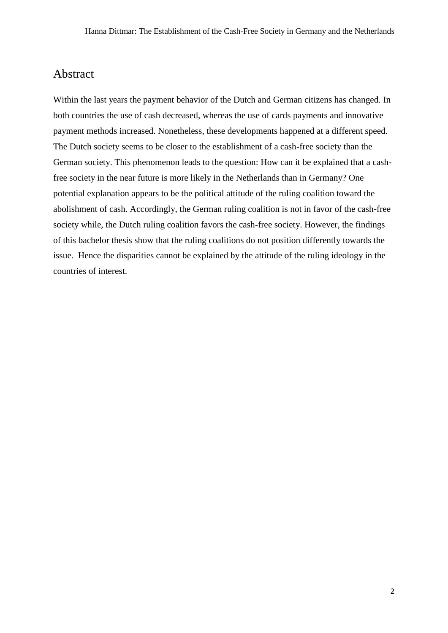### Abstract

Within the last years the payment behavior of the Dutch and German citizens has changed. In both countries the use of cash decreased, whereas the use of cards payments and innovative payment methods increased. Nonetheless, these developments happened at a different speed. The Dutch society seems to be closer to the establishment of a cash-free society than the German society. This phenomenon leads to the question: How can it be explained that a cashfree society in the near future is more likely in the Netherlands than in Germany? One potential explanation appears to be the political attitude of the ruling coalition toward the abolishment of cash. Accordingly, the German ruling coalition is not in favor of the cash-free society while, the Dutch ruling coalition favors the cash-free society. However, the findings of this bachelor thesis show that the ruling coalitions do not position differently towards the issue. Hence the disparities cannot be explained by the attitude of the ruling ideology in the countries of interest.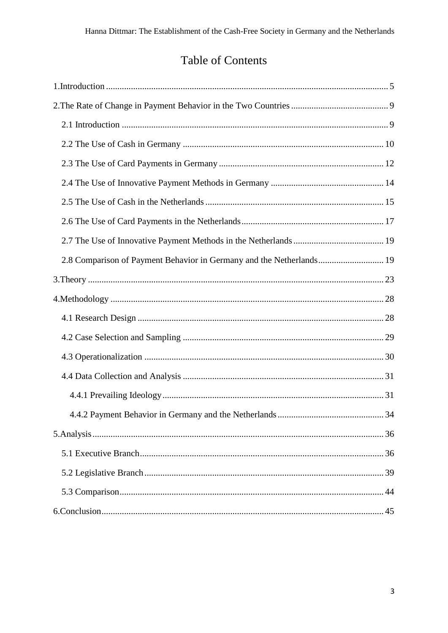# **Table of Contents**

| 2.8 Comparison of Payment Behavior in Germany and the Netherlands 19 |  |
|----------------------------------------------------------------------|--|
|                                                                      |  |
|                                                                      |  |
|                                                                      |  |
|                                                                      |  |
|                                                                      |  |
|                                                                      |  |
|                                                                      |  |
|                                                                      |  |
|                                                                      |  |
|                                                                      |  |
|                                                                      |  |
|                                                                      |  |
|                                                                      |  |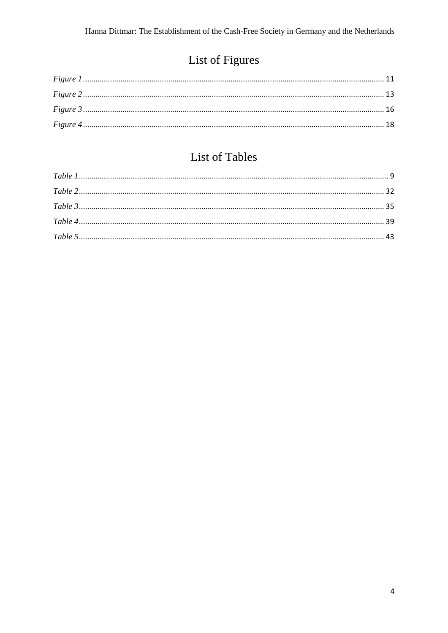# List of Figures

# List of Tables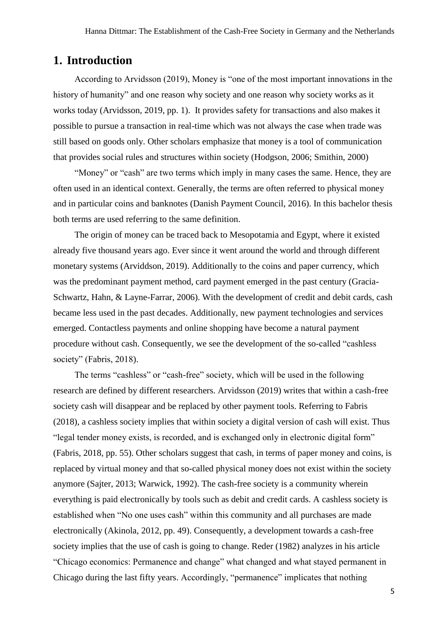### <span id="page-4-0"></span>**1. Introduction**

According to Arvidsson (2019), Money is "one of the most important innovations in the history of humanity" and one reason why society and one reason why society works as it works today (Arvidsson, 2019, pp. 1). It provides safety for transactions and also makes it possible to pursue a transaction in real-time which was not always the case when trade was still based on goods only. Other scholars emphasize that money is a tool of communication that provides social rules and structures within society (Hodgson, 2006; Smithin, 2000)

"Money" or "cash" are two terms which imply in many cases the same. Hence, they are often used in an identical context. Generally, the terms are often referred to physical money and in particular coins and banknotes (Danish Payment Council, 2016). In this bachelor thesis both terms are used referring to the same definition.

The origin of money can be traced back to Mesopotamia and Egypt, where it existed already five thousand years ago. Ever since it went around the world and through different monetary systems (Arviddson, 2019). Additionally to the coins and paper currency, which was the predominant payment method, card payment emerged in the past century (Gracia-Schwartz, Hahn, & Layne-Farrar, 2006). With the development of credit and debit cards, cash became less used in the past decades. Additionally, new payment technologies and services emerged. Contactless payments and online shopping have become a natural payment procedure without cash. Consequently, we see the development of the so-called "cashless society" (Fabris, 2018).

The terms "cashless" or "cash-free" society, which will be used in the following research are defined by different researchers. Arvidsson (2019) writes that within a cash-free society cash will disappear and be replaced by other payment tools. Referring to Fabris (2018), a cashless society implies that within society a digital version of cash will exist. Thus "legal tender money exists, is recorded, and is exchanged only in electronic digital form" (Fabris, 2018, pp. 55). Other scholars suggest that cash, in terms of paper money and coins, is replaced by virtual money and that so-called physical money does not exist within the society anymore (Sajter, 2013; Warwick, 1992). The cash-free society is a community wherein everything is paid electronically by tools such as debit and credit cards. A cashless society is established when "No one uses cash" within this community and all purchases are made electronically (Akinola, 2012, pp. 49). Consequently, a development towards a cash-free society implies that the use of cash is going to change. Reder (1982) analyzes in his article "Chicago economics: Permanence and change" what changed and what stayed permanent in Chicago during the last fifty years. Accordingly, "permanence" implicates that nothing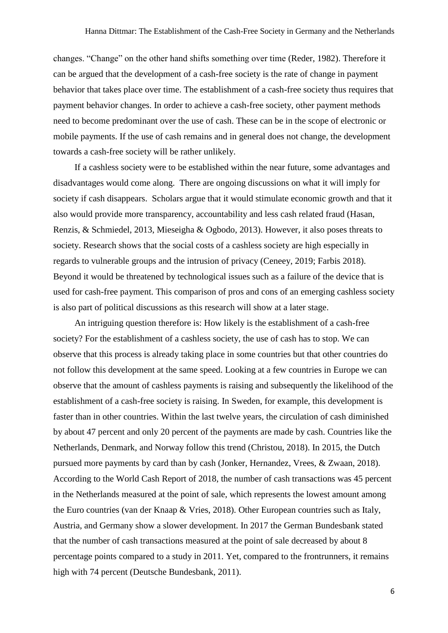changes. "Change" on the other hand shifts something over time (Reder, 1982). Therefore it can be argued that the development of a cash-free society is the rate of change in payment behavior that takes place over time. The establishment of a cash-free society thus requires that payment behavior changes. In order to achieve a cash-free society, other payment methods need to become predominant over the use of cash. These can be in the scope of electronic or mobile payments. If the use of cash remains and in general does not change, the development towards a cash-free society will be rather unlikely.

If a cashless society were to be established within the near future, some advantages and disadvantages would come along. There are ongoing discussions on what it will imply for society if cash disappears. Scholars argue that it would stimulate economic growth and that it also would provide more transparency, accountability and less cash related fraud (Hasan, Renzis, & Schmiedel, 2013, Mieseigha & Ogbodo, 2013). However, it also poses threats to society. Research shows that the social costs of a cashless society are high especially in regards to vulnerable groups and the intrusion of privacy (Ceneey, 2019; Farbis 2018). Beyond it would be threatened by technological issues such as a failure of the device that is used for cash-free payment. This comparison of pros and cons of an emerging cashless society is also part of political discussions as this research will show at a later stage.

An intriguing question therefore is: How likely is the establishment of a cash-free society? For the establishment of a cashless society, the use of cash has to stop. We can observe that this process is already taking place in some countries but that other countries do not follow this development at the same speed. Looking at a few countries in Europe we can observe that the amount of cashless payments is raising and subsequently the likelihood of the establishment of a cash-free society is raising. In Sweden, for example, this development is faster than in other countries. Within the last twelve years, the circulation of cash diminished by about 47 percent and only 20 percent of the payments are made by cash. Countries like the Netherlands, Denmark, and Norway follow this trend (Christou, 2018). In 2015, the Dutch pursued more payments by card than by cash (Jonker, Hernandez, Vrees, & Zwaan, 2018). According to the World Cash Report of 2018, the number of cash transactions was 45 percent in the Netherlands measured at the point of sale, which represents the lowest amount among the Euro countries (van der Knaap & Vries, 2018). Other European countries such as Italy, Austria, and Germany show a slower development. In 2017 the German Bundesbank stated that the number of cash transactions measured at the point of sale decreased by about 8 percentage points compared to a study in 2011. Yet, compared to the frontrunners, it remains high with 74 percent (Deutsche Bundesbank, 2011).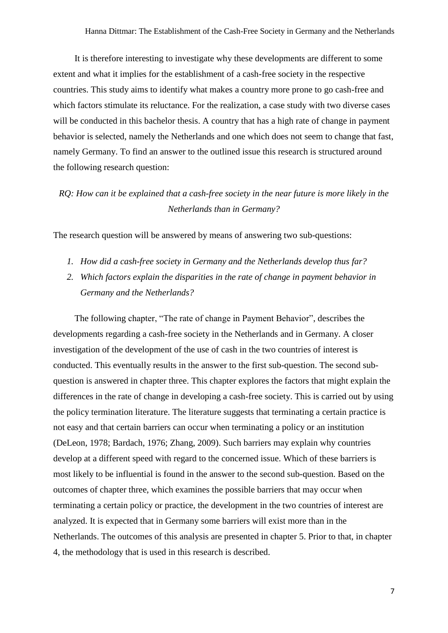It is therefore interesting to investigate why these developments are different to some extent and what it implies for the establishment of a cash-free society in the respective countries. This study aims to identify what makes a country more prone to go cash-free and which factors stimulate its reluctance. For the realization, a case study with two diverse cases will be conducted in this bachelor thesis. A country that has a high rate of change in payment behavior is selected, namely the Netherlands and one which does not seem to change that fast, namely Germany. To find an answer to the outlined issue this research is structured around the following research question:

### *RQ: How can it be explained that a cash-free society in the near future is more likely in the Netherlands than in Germany?*

The research question will be answered by means of answering two sub-questions:

- *1. How did a cash-free society in Germany and the Netherlands develop thus far?*
- *2. Which factors explain the disparities in the rate of change in payment behavior in Germany and the Netherlands?*

The following chapter, "The rate of change in Payment Behavior", describes the developments regarding a cash-free society in the Netherlands and in Germany. A closer investigation of the development of the use of cash in the two countries of interest is conducted. This eventually results in the answer to the first sub-question. The second subquestion is answered in chapter three. This chapter explores the factors that might explain the differences in the rate of change in developing a cash-free society. This is carried out by using the policy termination literature. The literature suggests that terminating a certain practice is not easy and that certain barriers can occur when terminating a policy or an institution (DeLeon, 1978; Bardach, 1976; Zhang, 2009). Such barriers may explain why countries develop at a different speed with regard to the concerned issue. Which of these barriers is most likely to be influential is found in the answer to the second sub-question. Based on the outcomes of chapter three, which examines the possible barriers that may occur when terminating a certain policy or practice, the development in the two countries of interest are analyzed. It is expected that in Germany some barriers will exist more than in the Netherlands. The outcomes of this analysis are presented in chapter 5. Prior to that, in chapter 4, the methodology that is used in this research is described.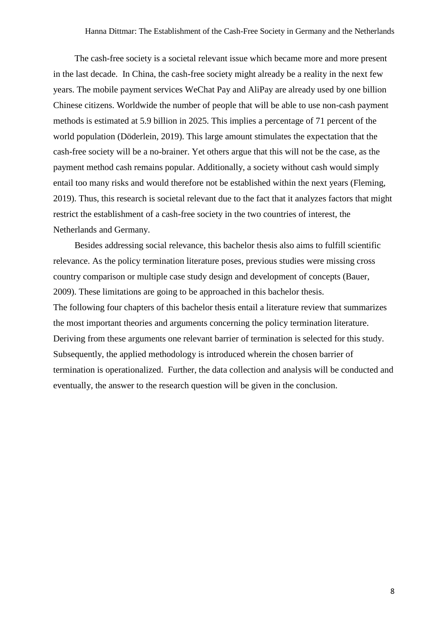The cash-free society is a societal relevant issue which became more and more present in the last decade. In China, the cash-free society might already be a reality in the next few years. The mobile payment services WeChat Pay and AliPay are already used by one billion Chinese citizens. Worldwide the number of people that will be able to use non-cash payment methods is estimated at 5.9 billion in 2025. This implies a percentage of 71 percent of the world population (Döderlein, 2019). This large amount stimulates the expectation that the cash-free society will be a no-brainer. Yet others argue that this will not be the case, as the payment method cash remains popular. Additionally, a society without cash would simply entail too many risks and would therefore not be established within the next years (Fleming, 2019). Thus, this research is societal relevant due to the fact that it analyzes factors that might restrict the establishment of a cash-free society in the two countries of interest, the Netherlands and Germany.

Besides addressing social relevance, this bachelor thesis also aims to fulfill scientific relevance. As the policy termination literature poses, previous studies were missing cross country comparison or multiple case study design and development of concepts (Bauer, 2009). These limitations are going to be approached in this bachelor thesis. The following four chapters of this bachelor thesis entail a literature review that summarizes the most important theories and arguments concerning the policy termination literature. Deriving from these arguments one relevant barrier of termination is selected for this study. Subsequently, the applied methodology is introduced wherein the chosen barrier of termination is operationalized. Further, the data collection and analysis will be conducted and eventually, the answer to the research question will be given in the conclusion.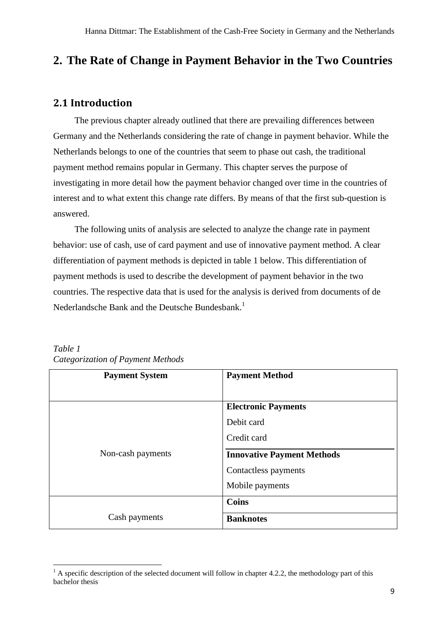# <span id="page-8-0"></span>**2. The Rate of Change in Payment Behavior in the Two Countries**

### <span id="page-8-1"></span>**2.1 Introduction**

The previous chapter already outlined that there are prevailing differences between Germany and the Netherlands considering the rate of change in payment behavior. While the Netherlands belongs to one of the countries that seem to phase out cash, the traditional payment method remains popular in Germany. This chapter serves the purpose of investigating in more detail how the payment behavior changed over time in the countries of interest and to what extent this change rate differs. By means of that the first sub-question is answered.

The following units of analysis are selected to analyze the change rate in payment behavior: use of cash, use of card payment and use of innovative payment method. A clear differentiation of payment methods is depicted in table 1 below. This differentiation of payment methods is used to describe the development of payment behavior in the two countries. The respective data that is used for the analysis is derived from documents of de Nederlandsche Bank and the Deutsche Bundesbank.<sup>1</sup>

| <b>Payment System</b> | <b>Payment Method</b>             |
|-----------------------|-----------------------------------|
|                       | <b>Electronic Payments</b>        |
|                       | Debit card                        |
|                       | Credit card                       |
| Non-cash payments     | <b>Innovative Payment Methods</b> |
|                       | Contactless payments              |
|                       | Mobile payments                   |
|                       | <b>Coins</b>                      |
| Cash payments         | <b>Banknotes</b>                  |

<span id="page-8-2"></span>*Table 1 Categorization of Payment Methods*

**.** 

 $1 \text{ A specific description of the selected document will follow in chapter 4.2.2, the methodology part of this.}$ bachelor thesis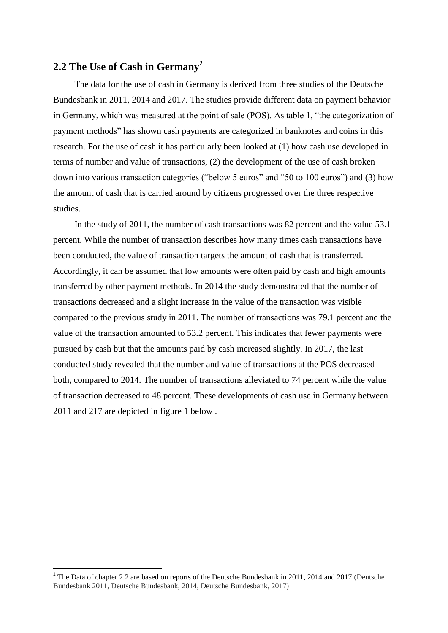### <span id="page-9-0"></span>**2.2 The Use of Cash in Germany<sup>2</sup>**

The data for the use of cash in Germany is derived from three studies of the Deutsche Bundesbank in 2011, 2014 and 2017. The studies provide different data on payment behavior in Germany, which was measured at the point of sale (POS). As table 1, "the categorization of payment methods" has shown cash payments are categorized in banknotes and coins in this research. For the use of cash it has particularly been looked at (1) how cash use developed in terms of number and value of transactions, (2) the development of the use of cash broken down into various transaction categories ("below 5 euros" and "50 to 100 euros") and (3) how the amount of cash that is carried around by citizens progressed over the three respective studies.

In the study of 2011, the number of cash transactions was 82 percent and the value 53.1 percent. While the number of transaction describes how many times cash transactions have been conducted, the value of transaction targets the amount of cash that is transferred. Accordingly, it can be assumed that low amounts were often paid by cash and high amounts transferred by other payment methods. In 2014 the study demonstrated that the number of transactions decreased and a slight increase in the value of the transaction was visible compared to the previous study in 2011. The number of transactions was 79.1 percent and the value of the transaction amounted to 53.2 percent. This indicates that fewer payments were pursued by cash but that the amounts paid by cash increased slightly. In 2017, the last conducted study revealed that the number and value of transactions at the POS decreased both, compared to 2014. The number of transactions alleviated to 74 percent while the value of transaction decreased to 48 percent. These developments of cash use in Germany between 2011 and 217 are depicted in figure 1 below .

<span id="page-9-1"></span>**.** 

<sup>&</sup>lt;sup>2</sup> The Data of chapter 2.2 are based on reports of the Deutsche Bundesbank in 2011, 2014 and 2017 (Deutsche Bundesbank 2011, Deutsche Bundesbank, 2014, Deutsche Bundesbank, 2017)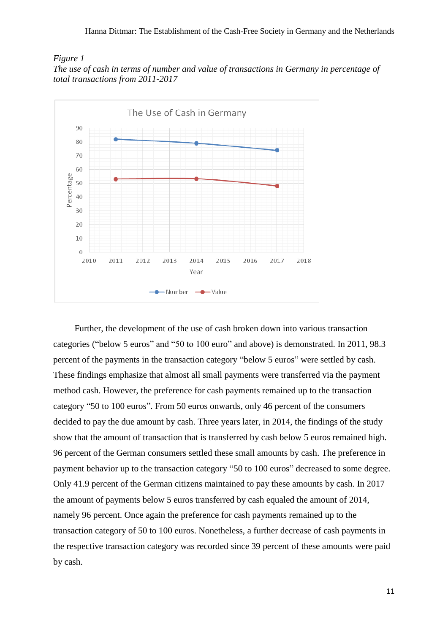#### *Figure 1 The use of cash in terms of number and value of transactions in Germany in percentage of total transactions from 2011-2017*



Further, the development of the use of cash broken down into various transaction categories ("below 5 euros" and "50 to 100 euro" and above) is demonstrated. In 2011, 98.3 percent of the payments in the transaction category "below 5 euros" were settled by cash. These findings emphasize that almost all small payments were transferred via the payment method cash. However, the preference for cash payments remained up to the transaction category "50 to 100 euros". From 50 euros onwards, only 46 percent of the consumers decided to pay the due amount by cash. Three years later, in 2014, the findings of the study show that the amount of transaction that is transferred by cash below 5 euros remained high. 96 percent of the German consumers settled these small amounts by cash. The preference in payment behavior up to the transaction category "50 to 100 euros" decreased to some degree. Only 41.9 percent of the German citizens maintained to pay these amounts by cash. In 2017 the amount of payments below 5 euros transferred by cash equaled the amount of 2014, namely 96 percent. Once again the preference for cash payments remained up to the transaction category of 50 to 100 euros. Nonetheless, a further decrease of cash payments in the respective transaction category was recorded since 39 percent of these amounts were paid by cash.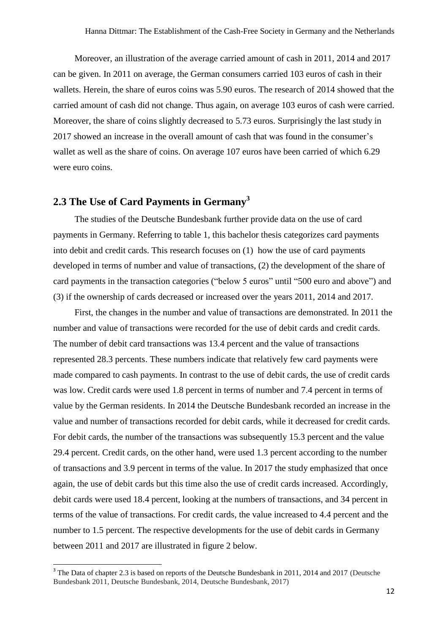Moreover, an illustration of the average carried amount of cash in 2011, 2014 and 2017 can be given. In 2011 on average, the German consumers carried 103 euros of cash in their wallets. Herein, the share of euros coins was 5.90 euros. The research of 2014 showed that the carried amount of cash did not change. Thus again, on average 103 euros of cash were carried. Moreover, the share of coins slightly decreased to 5.73 euros. Surprisingly the last study in 2017 showed an increase in the overall amount of cash that was found in the consumer's wallet as well as the share of coins. On average 107 euros have been carried of which 6.29 were euro coins.

### <span id="page-11-0"></span>**2.3 The Use of Card Payments in Germany<sup>3</sup>**

The studies of the Deutsche Bundesbank further provide data on the use of card payments in Germany. Referring to table 1, this bachelor thesis categorizes card payments into debit and credit cards. This research focuses on (1) how the use of card payments developed in terms of number and value of transactions, (2) the development of the share of card payments in the transaction categories ("below 5 euros" until "500 euro and above") and (3) if the ownership of cards decreased or increased over the years 2011, 2014 and 2017.

First, the changes in the number and value of transactions are demonstrated. In 2011 the number and value of transactions were recorded for the use of debit cards and credit cards. The number of debit card transactions was 13.4 percent and the value of transactions represented 28.3 percents. These numbers indicate that relatively few card payments were made compared to cash payments. In contrast to the use of debit cards, the use of credit cards was low. Credit cards were used 1.8 percent in terms of number and 7.4 percent in terms of value by the German residents. In 2014 the Deutsche Bundesbank recorded an increase in the value and number of transactions recorded for debit cards, while it decreased for credit cards. For debit cards, the number of the transactions was subsequently 15.3 percent and the value 29.4 percent. Credit cards, on the other hand, were used 1.3 percent according to the number of transactions and 3.9 percent in terms of the value. In 2017 the study emphasized that once again, the use of debit cards but this time also the use of credit cards increased. Accordingly, debit cards were used 18.4 percent, looking at the numbers of transactions, and 34 percent in terms of the value of transactions. For credit cards, the value increased to 4.4 percent and the number to 1.5 percent. The respective developments for the use of debit cards in Germany between 2011 and 2017 are illustrated in figure 2 below.

<span id="page-11-1"></span>1

<sup>&</sup>lt;sup>3</sup> The Data of chapter 2.3 is based on reports of the Deutsche Bundesbank in 2011, 2014 and 2017 (Deutsche Bundesbank 2011, Deutsche Bundesbank, 2014, Deutsche Bundesbank, 2017)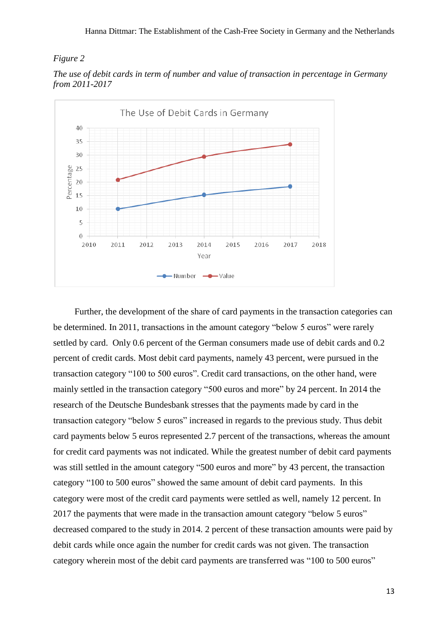#### *Figure 2*





Further, the development of the share of card payments in the transaction categories can be determined. In 2011, transactions in the amount category "below 5 euros" were rarely settled by card. Only 0.6 percent of the German consumers made use of debit cards and 0.2 percent of credit cards. Most debit card payments, namely 43 percent, were pursued in the transaction category "100 to 500 euros". Credit card transactions, on the other hand, were mainly settled in the transaction category "500 euros and more" by 24 percent. In 2014 the research of the Deutsche Bundesbank stresses that the payments made by card in the transaction category "below 5 euros" increased in regards to the previous study. Thus debit card payments below 5 euros represented 2.7 percent of the transactions, whereas the amount for credit card payments was not indicated. While the greatest number of debit card payments was still settled in the amount category "500 euros and more" by 43 percent, the transaction category "100 to 500 euros" showed the same amount of debit card payments. In this category were most of the credit card payments were settled as well, namely 12 percent. In 2017 the payments that were made in the transaction amount category "below 5 euros" decreased compared to the study in 2014. 2 percent of these transaction amounts were paid by debit cards while once again the number for credit cards was not given. The transaction category wherein most of the debit card payments are transferred was "100 to 500 euros"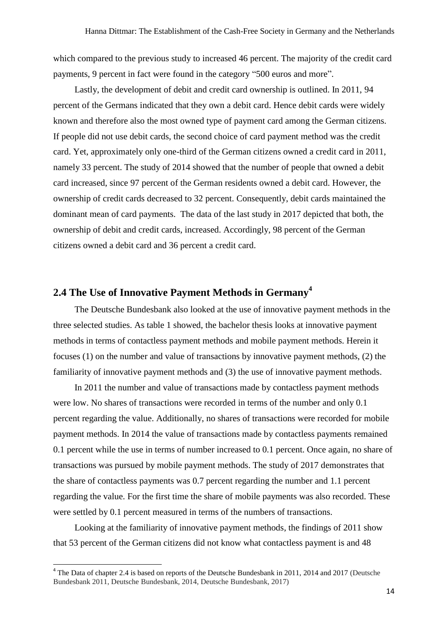which compared to the previous study to increased 46 percent. The majority of the credit card payments, 9 percent in fact were found in the category "500 euros and more".

Lastly, the development of debit and credit card ownership is outlined. In 2011, 94 percent of the Germans indicated that they own a debit card. Hence debit cards were widely known and therefore also the most owned type of payment card among the German citizens. If people did not use debit cards, the second choice of card payment method was the credit card. Yet, approximately only one-third of the German citizens owned a credit card in 2011, namely 33 percent. The study of 2014 showed that the number of people that owned a debit card increased, since 97 percent of the German residents owned a debit card. However, the ownership of credit cards decreased to 32 percent. Consequently, debit cards maintained the dominant mean of card payments. The data of the last study in 2017 depicted that both, the ownership of debit and credit cards, increased. Accordingly, 98 percent of the German citizens owned a debit card and 36 percent a credit card.

### <span id="page-13-0"></span>**2.4 The Use of Innovative Payment Methods in Germany<sup>4</sup>**

The Deutsche Bundesbank also looked at the use of innovative payment methods in the three selected studies. As table 1 showed, the bachelor thesis looks at innovative payment methods in terms of contactless payment methods and mobile payment methods. Herein it focuses (1) on the number and value of transactions by innovative payment methods, (2) the familiarity of innovative payment methods and (3) the use of innovative payment methods.

In 2011 the number and value of transactions made by contactless payment methods were low. No shares of transactions were recorded in terms of the number and only 0.1 percent regarding the value. Additionally, no shares of transactions were recorded for mobile payment methods. In 2014 the value of transactions made by contactless payments remained 0.1 percent while the use in terms of number increased to 0.1 percent. Once again, no share of transactions was pursued by mobile payment methods. The study of 2017 demonstrates that the share of contactless payments was 0.7 percent regarding the number and 1.1 percent regarding the value. For the first time the share of mobile payments was also recorded. These were settled by 0.1 percent measured in terms of the numbers of transactions.

Looking at the familiarity of innovative payment methods, the findings of 2011 show that 53 percent of the German citizens did not know what contactless payment is and 48

1

<sup>&</sup>lt;sup>4</sup> The Data of chapter 2.4 is based on reports of the Deutsche Bundesbank in 2011, 2014 and 2017 (Deutsche Bundesbank 2011, Deutsche Bundesbank, 2014, Deutsche Bundesbank, 2017)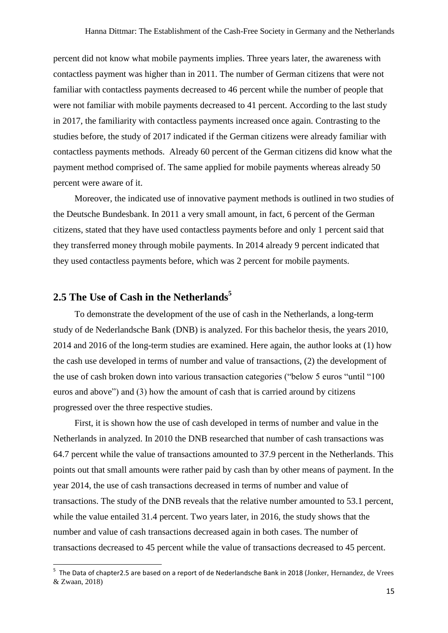percent did not know what mobile payments implies. Three years later, the awareness with contactless payment was higher than in 2011. The number of German citizens that were not familiar with contactless payments decreased to 46 percent while the number of people that were not familiar with mobile payments decreased to 41 percent. According to the last study in 2017, the familiarity with contactless payments increased once again. Contrasting to the studies before, the study of 2017 indicated if the German citizens were already familiar with contactless payments methods. Already 60 percent of the German citizens did know what the payment method comprised of. The same applied for mobile payments whereas already 50 percent were aware of it.

Moreover, the indicated use of innovative payment methods is outlined in two studies of the Deutsche Bundesbank. In 2011 a very small amount, in fact, 6 percent of the German citizens, stated that they have used contactless payments before and only 1 percent said that they transferred money through mobile payments. In 2014 already 9 percent indicated that they used contactless payments before, which was 2 percent for mobile payments.

### <span id="page-14-0"></span>**2.5 The Use of Cash in the Netherlands<sup>5</sup>**

1

To demonstrate the development of the use of cash in the Netherlands, a long-term study of de Nederlandsche Bank (DNB) is analyzed. For this bachelor thesis, the years 2010, 2014 and 2016 of the long-term studies are examined. Here again, the author looks at (1) how the cash use developed in terms of number and value of transactions, (2) the development of the use of cash broken down into various transaction categories ("below 5 euros "until "100 euros and above") and (3) how the amount of cash that is carried around by citizens progressed over the three respective studies.

First, it is shown how the use of cash developed in terms of number and value in the Netherlands in analyzed. In 2010 the DNB researched that number of cash transactions was 64.7 percent while the value of transactions amounted to 37.9 percent in the Netherlands. This points out that small amounts were rather paid by cash than by other means of payment. In the year 2014, the use of cash transactions decreased in terms of number and value of transactions. The study of the DNB reveals that the relative number amounted to 53.1 percent, while the value entailed 31.4 percent. Two years later, in 2016, the study shows that the number and value of cash transactions decreased again in both cases. The number of transactions decreased to 45 percent while the value of transactions decreased to 45 percent.

<sup>&</sup>lt;sup>5</sup> The Data of chapter2.5 are based on a report of de Nederlandsche Bank in 2018 (Jonker, Hernandez, de Vrees & Zwaan, 2018)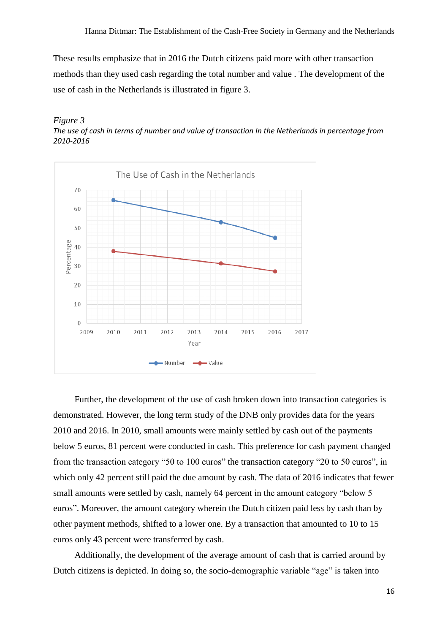These results emphasize that in 2016 the Dutch citizens paid more with other transaction methods than they used cash regarding the total number and value . The development of the use of cash in the Netherlands is illustrated in figure 3.

<span id="page-15-0"></span>



Further, the development of the use of cash broken down into transaction categories is demonstrated. However, the long term study of the DNB only provides data for the years 2010 and 2016. In 2010, small amounts were mainly settled by cash out of the payments below 5 euros, 81 percent were conducted in cash. This preference for cash payment changed from the transaction category "50 to 100 euros" the transaction category "20 to 50 euros", in which only 42 percent still paid the due amount by cash. The data of 2016 indicates that fewer small amounts were settled by cash, namely 64 percent in the amount category "below 5 euros". Moreover, the amount category wherein the Dutch citizen paid less by cash than by other payment methods, shifted to a lower one. By a transaction that amounted to 10 to 15 euros only 43 percent were transferred by cash.

Additionally, the development of the average amount of cash that is carried around by Dutch citizens is depicted. In doing so, the socio-demographic variable "age" is taken into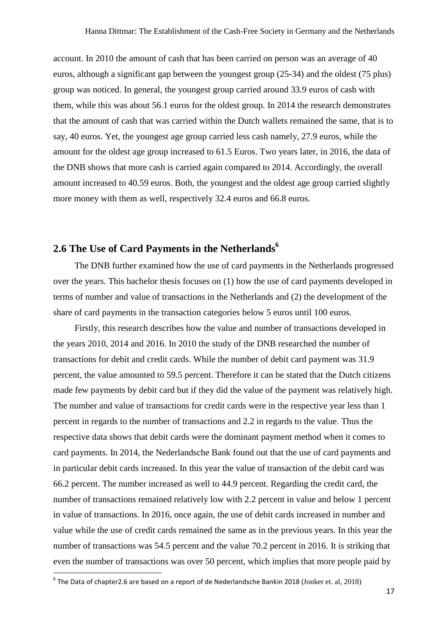account. In 2010 the amount of cash that has been carried on person was an average of 40 euros, although a significant gap between the youngest group (25-34) and the oldest (75 plus) group was noticed. In general, the youngest group carried around 33.9 euros of cash with them, while this was about 56.1 euros for the oldest group. In 2014 the research demonstrates that the amount of cash that was carried within the Dutch wallets remained the same, that is to say, 40 euros. Yet, the youngest age group carried less cash namely, 27.9 euros, while the amount for the oldest age group increased to 61.5 Euros. Two years later, in 2016, the data of the DNB shows that more cash is carried again compared to 2014. Accordingly, the overall amount increased to 40.59 euros. Both, the youngest and the oldest age group carried slightly more money with them as well, respectively 32.4 euros and 66.8 euros.

### <span id="page-16-0"></span>**2.6 The Use of Card Payments in the Netherlands<sup>6</sup>**

The DNB further examined how the use of card payments in the Netherlands progressed over the years. This bachelor thesis focuses on (1) how the use of card payments developed in terms of number and value of transactions in the Netherlands and (2) the development of the share of card payments in the transaction categories below 5 euros until 100 euros.

Firstly, this research describes how the value and number of transactions developed in the years 2010, 2014 and 2016. In 2010 the study of the DNB researched the number of transactions for debit and credit cards. While the number of debit card payment was 31.9 percent, the value amounted to 59.5 percent. Therefore it can be stated that the Dutch citizens made few payments by debit card but if they did the value of the payment was relatively high. The number and value of transactions for credit cards were in the respective year less than 1 percent in regards to the number of transactions and 2.2 in regards to the value. Thus the respective data shows that debit cards were the dominant payment method when it comes to card payments. In 2014, the Nederlandsche Bank found out that the use of card payments and in particular debit cards increased. In this year the value of transaction of the debit card was 66.2 percent. The number increased as well to 44.9 percent. Regarding the credit card, the number of transactions remained relatively low with 2.2 percent in value and below 1 percent in value of transactions. In 2016, once again, the use of debit cards increased in number and value while the use of credit cards remained the same as in the previous years. In this year the number of transactions was 54.5 percent and the value 70.2 percent in 2016. It is striking that even the number of transactions was over 50 percent, which implies that more people paid by

**.** 

 $^6$  The Data of chapter2.6 are based on a report of de Nederlandsche Bankin 2018 (Jonker et. al, 2018)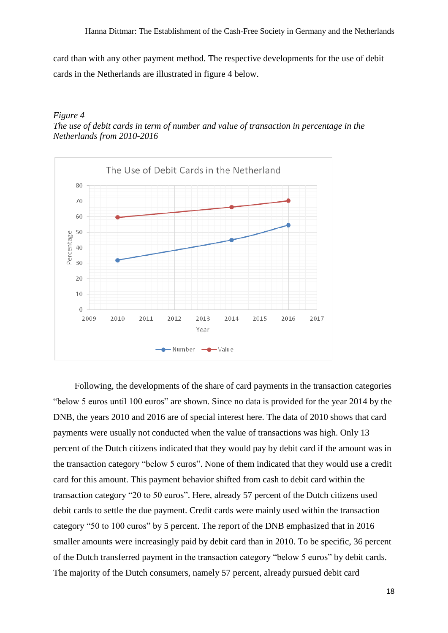card than with any other payment method. The respective developments for the use of debit cards in the Netherlands are illustrated in figure 4 below.

#### <span id="page-17-0"></span>*Figure 4 The use of debit cards in term of number and value of transaction in percentage in the Netherlands from 2010-2016*



Following, the developments of the share of card payments in the transaction categories "below 5 euros until 100 euros" are shown. Since no data is provided for the year 2014 by the DNB, the years 2010 and 2016 are of special interest here. The data of 2010 shows that card payments were usually not conducted when the value of transactions was high. Only 13 percent of the Dutch citizens indicated that they would pay by debit card if the amount was in the transaction category "below 5 euros". None of them indicated that they would use a credit card for this amount. This payment behavior shifted from cash to debit card within the transaction category "20 to 50 euros". Here, already 57 percent of the Dutch citizens used debit cards to settle the due payment. Credit cards were mainly used within the transaction category "50 to 100 euros" by 5 percent. The report of the DNB emphasized that in 2016 smaller amounts were increasingly paid by debit card than in 2010. To be specific, 36 percent of the Dutch transferred payment in the transaction category "below 5 euros" by debit cards. The majority of the Dutch consumers, namely 57 percent, already pursued debit card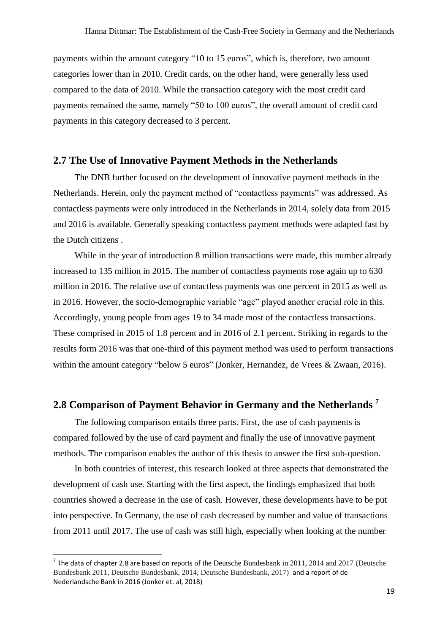payments within the amount category "10 to 15 euros", which is, therefore, two amount categories lower than in 2010. Credit cards, on the other hand, were generally less used compared to the data of 2010. While the transaction category with the most credit card payments remained the same, namely "50 to 100 euros", the overall amount of credit card payments in this category decreased to 3 percent.

#### <span id="page-18-0"></span>**2.7 The Use of Innovative Payment Methods in the Netherlands**

The DNB further focused on the development of innovative payment methods in the Netherlands. Herein, only the payment method of "contactless payments" was addressed. As contactless payments were only introduced in the Netherlands in 2014, solely data from 2015 and 2016 is available. Generally speaking contactless payment methods were adapted fast by the Dutch citizens .

While in the year of introduction 8 million transactions were made, this number already increased to 135 million in 2015. The number of contactless payments rose again up to 630 million in 2016. The relative use of contactless payments was one percent in 2015 as well as in 2016. However, the socio-demographic variable "age" played another crucial role in this. Accordingly, young people from ages 19 to 34 made most of the contactless transactions. These comprised in 2015 of 1.8 percent and in 2016 of 2.1 percent. Striking in regards to the results form 2016 was that one-third of this payment method was used to perform transactions within the amount category "below 5 euros" (Jonker, Hernandez, de Vrees & Zwaan, 2016).

# <span id="page-18-1"></span>**2.8 Comparison of Payment Behavior in Germany and the Netherlands <sup>7</sup>**

The following comparison entails three parts. First, the use of cash payments is compared followed by the use of card payment and finally the use of innovative payment methods. The comparison enables the author of this thesis to answer the first sub-question.

In both countries of interest, this research looked at three aspects that demonstrated the development of cash use. Starting with the first aspect, the findings emphasized that both countries showed a decrease in the use of cash. However, these developments have to be put into perspective. In Germany, the use of cash decreased by number and value of transactions from 2011 until 2017. The use of cash was still high, especially when looking at the number

**.** 

<sup>&</sup>lt;sup>7</sup> The data of chapter 2.8 are based on reports of the Deutsche Bundesbank in 2011, 2014 and 2017 (Deutsche Bundesbank 2011, Deutsche Bundesbank, 2014, Deutsche Bundesbank, 2017) and a report of de Nederlandsche Bank in 2016 (Jonker et. al, 2018)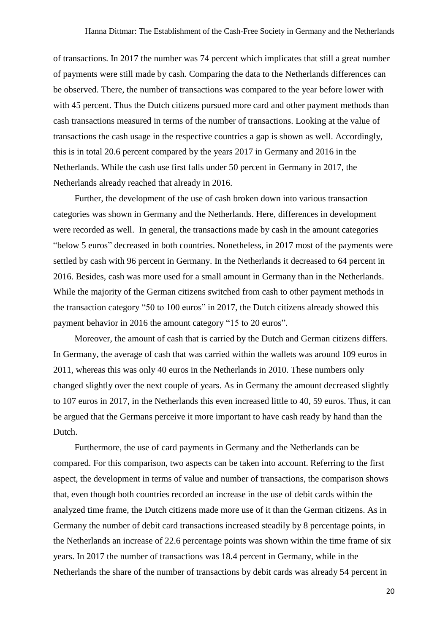of transactions. In 2017 the number was 74 percent which implicates that still a great number of payments were still made by cash. Comparing the data to the Netherlands differences can be observed. There, the number of transactions was compared to the year before lower with with 45 percent. Thus the Dutch citizens pursued more card and other payment methods than cash transactions measured in terms of the number of transactions. Looking at the value of transactions the cash usage in the respective countries a gap is shown as well. Accordingly, this is in total 20.6 percent compared by the years 2017 in Germany and 2016 in the Netherlands. While the cash use first falls under 50 percent in Germany in 2017, the Netherlands already reached that already in 2016.

Further, the development of the use of cash broken down into various transaction categories was shown in Germany and the Netherlands. Here, differences in development were recorded as well. In general, the transactions made by cash in the amount categories "below 5 euros" decreased in both countries. Nonetheless, in 2017 most of the payments were settled by cash with 96 percent in Germany. In the Netherlands it decreased to 64 percent in 2016. Besides, cash was more used for a small amount in Germany than in the Netherlands. While the majority of the German citizens switched from cash to other payment methods in the transaction category "50 to 100 euros" in 2017, the Dutch citizens already showed this payment behavior in 2016 the amount category "15 to 20 euros".

Moreover, the amount of cash that is carried by the Dutch and German citizens differs. In Germany, the average of cash that was carried within the wallets was around 109 euros in 2011, whereas this was only 40 euros in the Netherlands in 2010. These numbers only changed slightly over the next couple of years. As in Germany the amount decreased slightly to 107 euros in 2017, in the Netherlands this even increased little to 40, 59 euros. Thus, it can be argued that the Germans perceive it more important to have cash ready by hand than the Dutch.

Furthermore, the use of card payments in Germany and the Netherlands can be compared. For this comparison, two aspects can be taken into account. Referring to the first aspect, the development in terms of value and number of transactions, the comparison shows that, even though both countries recorded an increase in the use of debit cards within the analyzed time frame, the Dutch citizens made more use of it than the German citizens. As in Germany the number of debit card transactions increased steadily by 8 percentage points, in the Netherlands an increase of 22.6 percentage points was shown within the time frame of six years. In 2017 the number of transactions was 18.4 percent in Germany, while in the Netherlands the share of the number of transactions by debit cards was already 54 percent in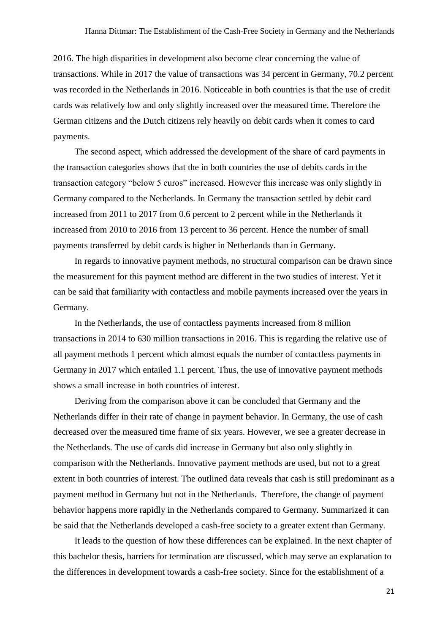2016. The high disparities in development also become clear concerning the value of transactions. While in 2017 the value of transactions was 34 percent in Germany, 70.2 percent was recorded in the Netherlands in 2016. Noticeable in both countries is that the use of credit cards was relatively low and only slightly increased over the measured time. Therefore the German citizens and the Dutch citizens rely heavily on debit cards when it comes to card payments.

The second aspect, which addressed the development of the share of card payments in the transaction categories shows that the in both countries the use of debits cards in the transaction category "below 5 euros" increased. However this increase was only slightly in Germany compared to the Netherlands. In Germany the transaction settled by debit card increased from 2011 to 2017 from 0.6 percent to 2 percent while in the Netherlands it increased from 2010 to 2016 from 13 percent to 36 percent. Hence the number of small payments transferred by debit cards is higher in Netherlands than in Germany.

In regards to innovative payment methods, no structural comparison can be drawn since the measurement for this payment method are different in the two studies of interest. Yet it can be said that familiarity with contactless and mobile payments increased over the years in Germany.

In the Netherlands, the use of contactless payments increased from 8 million transactions in 2014 to 630 million transactions in 2016. This is regarding the relative use of all payment methods 1 percent which almost equals the number of contactless payments in Germany in 2017 which entailed 1.1 percent. Thus, the use of innovative payment methods shows a small increase in both countries of interest.

Deriving from the comparison above it can be concluded that Germany and the Netherlands differ in their rate of change in payment behavior. In Germany, the use of cash decreased over the measured time frame of six years. However, we see a greater decrease in the Netherlands. The use of cards did increase in Germany but also only slightly in comparison with the Netherlands. Innovative payment methods are used, but not to a great extent in both countries of interest. The outlined data reveals that cash is still predominant as a payment method in Germany but not in the Netherlands. Therefore, the change of payment behavior happens more rapidly in the Netherlands compared to Germany. Summarized it can be said that the Netherlands developed a cash-free society to a greater extent than Germany.

It leads to the question of how these differences can be explained. In the next chapter of this bachelor thesis, barriers for termination are discussed, which may serve an explanation to the differences in development towards a cash-free society. Since for the establishment of a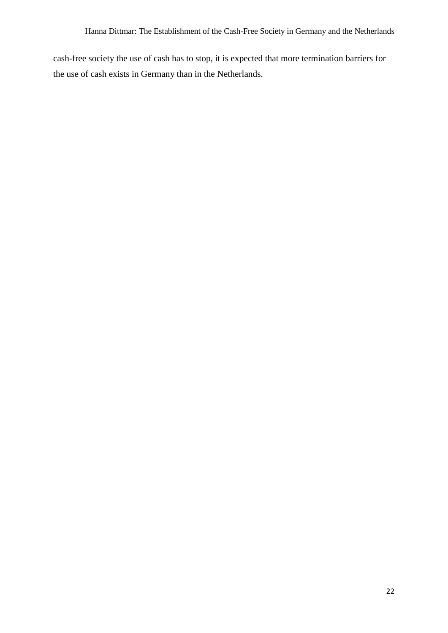cash-free society the use of cash has to stop, it is expected that more termination barriers for the use of cash exists in Germany than in the Netherlands.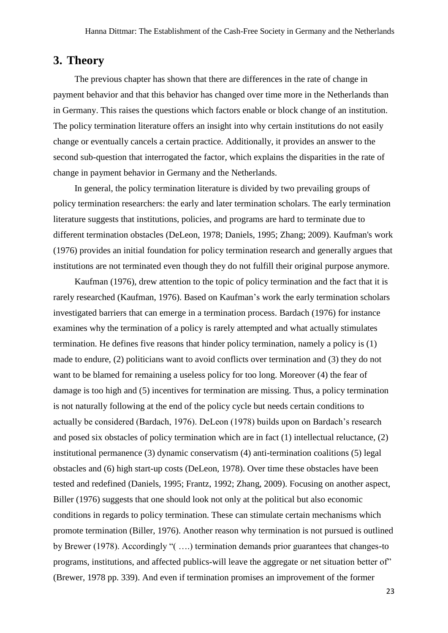### <span id="page-22-0"></span>**3. Theory**

The previous chapter has shown that there are differences in the rate of change in payment behavior and that this behavior has changed over time more in the Netherlands than in Germany. This raises the questions which factors enable or block change of an institution. The policy termination literature offers an insight into why certain institutions do not easily change or eventually cancels a certain practice. Additionally, it provides an answer to the second sub-question that interrogated the factor, which explains the disparities in the rate of change in payment behavior in Germany and the Netherlands.

In general, the policy termination literature is divided by two prevailing groups of policy termination researchers: the early and later termination scholars. The early termination literature suggests that institutions, policies, and programs are hard to terminate due to different termination obstacles (DeLeon, 1978; Daniels, 1995; Zhang; 2009). Kaufman's work (1976) provides an initial foundation for policy termination research and generally argues that institutions are not terminated even though they do not fulfill their original purpose anymore.

Kaufman (1976), drew attention to the topic of policy termination and the fact that it is rarely researched (Kaufman, 1976). Based on Kaufman's work the early termination scholars investigated barriers that can emerge in a termination process. Bardach (1976) for instance examines why the termination of a policy is rarely attempted and what actually stimulates termination. He defines five reasons that hinder policy termination, namely a policy is (1) made to endure, (2) politicians want to avoid conflicts over termination and (3) they do not want to be blamed for remaining a useless policy for too long. Moreover (4) the fear of damage is too high and (5) incentives for termination are missing. Thus, a policy termination is not naturally following at the end of the policy cycle but needs certain conditions to actually be considered (Bardach, 1976). DeLeon (1978) builds upon on Bardach's research and posed six obstacles of policy termination which are in fact (1) intellectual reluctance, (2) institutional permanence (3) dynamic conservatism (4) anti-termination coalitions (5) legal obstacles and (6) high start-up costs (DeLeon, 1978). Over time these obstacles have been tested and redefined (Daniels, 1995; Frantz, 1992; Zhang, 2009). Focusing on another aspect, Biller (1976) suggests that one should look not only at the political but also economic conditions in regards to policy termination. These can stimulate certain mechanisms which promote termination (Biller, 1976). Another reason why termination is not pursued is outlined by Brewer (1978). Accordingly "( ….) termination demands prior guarantees that changes-to programs, institutions, and affected publics-will leave the aggregate or net situation better of" (Brewer, 1978 pp. 339). And even if termination promises an improvement of the former

23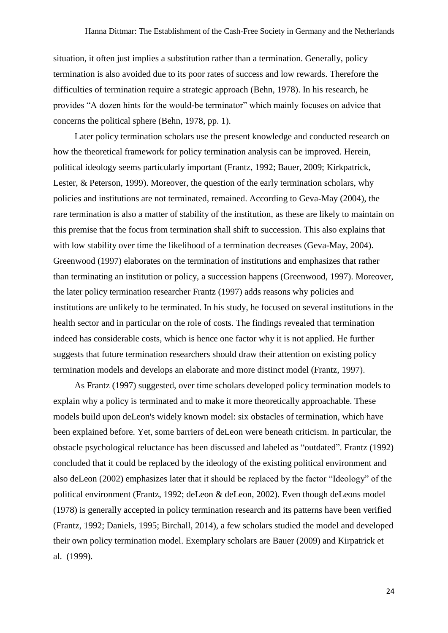situation, it often just implies a substitution rather than a termination. Generally, policy termination is also avoided due to its poor rates of success and low rewards. Therefore the difficulties of termination require a strategic approach (Behn, 1978). In his research, he provides "A dozen hints for the would-be terminator" which mainly focuses on advice that concerns the political sphere (Behn, 1978, pp. 1).

Later policy termination scholars use the present knowledge and conducted research on how the theoretical framework for policy termination analysis can be improved. Herein, political ideology seems particularly important (Frantz, 1992; Bauer, 2009; Kirkpatrick, Lester, & Peterson, 1999). Moreover, the question of the early termination scholars, why policies and institutions are not terminated, remained. According to Geva-May (2004), the rare termination is also a matter of stability of the institution, as these are likely to maintain on this premise that the focus from termination shall shift to succession. This also explains that with low stability over time the likelihood of a termination decreases (Geva-May, 2004). Greenwood (1997) elaborates on the termination of institutions and emphasizes that rather than terminating an institution or policy, a succession happens (Greenwood, 1997). Moreover, the later policy termination researcher Frantz (1997) adds reasons why policies and institutions are unlikely to be terminated. In his study, he focused on several institutions in the health sector and in particular on the role of costs. The findings revealed that termination indeed has considerable costs, which is hence one factor why it is not applied. He further suggests that future termination researchers should draw their attention on existing policy termination models and develops an elaborate and more distinct model (Frantz, 1997).

As Frantz (1997) suggested, over time scholars developed policy termination models to explain why a policy is terminated and to make it more theoretically approachable. These models build upon deLeon's widely known model: six obstacles of termination, which have been explained before. Yet, some barriers of deLeon were beneath criticism. In particular, the obstacle psychological reluctance has been discussed and labeled as "outdated". Frantz (1992) concluded that it could be replaced by the ideology of the existing political environment and also deLeon (2002) emphasizes later that it should be replaced by the factor "Ideology" of the political environment (Frantz, 1992; deLeon & deLeon, 2002). Even though deLeons model (1978) is generally accepted in policy termination research and its patterns have been verified (Frantz, 1992; Daniels, 1995; Birchall, 2014), a few scholars studied the model and developed their own policy termination model. Exemplary scholars are Bauer (2009) and Kirpatrick et al. (1999).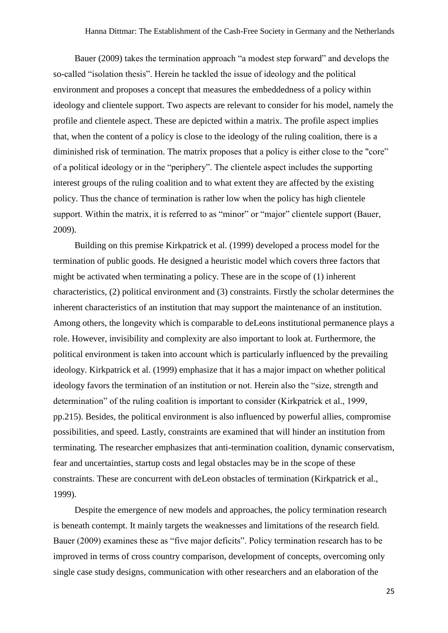Bauer (2009) takes the termination approach "a modest step forward" and develops the so-called "isolation thesis". Herein he tackled the issue of ideology and the political environment and proposes a concept that measures the embeddedness of a policy within ideology and clientele support. Two aspects are relevant to consider for his model, namely the profile and clientele aspect. These are depicted within a matrix. The profile aspect implies that, when the content of a policy is close to the ideology of the ruling coalition, there is a diminished risk of termination. The matrix proposes that a policy is either close to the "core" of a political ideology or in the "periphery". The clientele aspect includes the supporting interest groups of the ruling coalition and to what extent they are affected by the existing policy. Thus the chance of termination is rather low when the policy has high clientele support. Within the matrix, it is referred to as "minor" or "major" clientele support (Bauer, 2009).

Building on this premise Kirkpatrick et al. (1999) developed a process model for the termination of public goods. He designed a heuristic model which covers three factors that might be activated when terminating a policy. These are in the scope of (1) inherent characteristics, (2) political environment and (3) constraints. Firstly the scholar determines the inherent characteristics of an institution that may support the maintenance of an institution. Among others, the longevity which is comparable to deLeons institutional permanence plays a role. However, invisibility and complexity are also important to look at. Furthermore, the political environment is taken into account which is particularly influenced by the prevailing ideology. Kirkpatrick et al. (1999) emphasize that it has a major impact on whether political ideology favors the termination of an institution or not. Herein also the "size, strength and determination" of the ruling coalition is important to consider (Kirkpatrick et al., 1999, pp.215). Besides, the political environment is also influenced by powerful allies, compromise possibilities, and speed. Lastly, constraints are examined that will hinder an institution from terminating. The researcher emphasizes that anti-termination coalition, dynamic conservatism, fear and uncertainties, startup costs and legal obstacles may be in the scope of these constraints. These are concurrent with deLeon obstacles of termination (Kirkpatrick et al., 1999).

Despite the emergence of new models and approaches, the policy termination research is beneath contempt. It mainly targets the weaknesses and limitations of the research field. Bauer (2009) examines these as "five major deficits". Policy termination research has to be improved in terms of cross country comparison, development of concepts, overcoming only single case study designs, communication with other researchers and an elaboration of the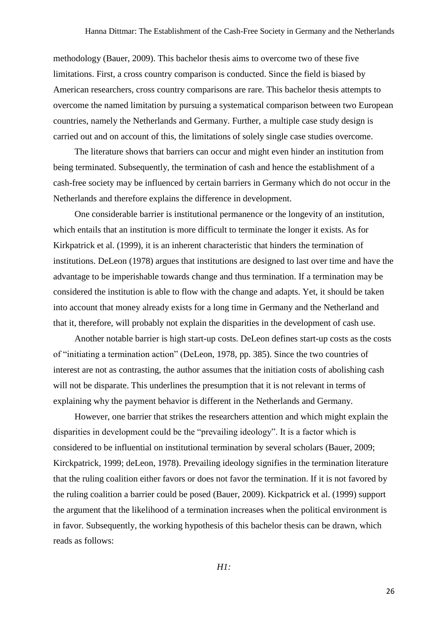methodology (Bauer, 2009). This bachelor thesis aims to overcome two of these five limitations. First, a cross country comparison is conducted. Since the field is biased by American researchers, cross country comparisons are rare. This bachelor thesis attempts to overcome the named limitation by pursuing a systematical comparison between two European countries, namely the Netherlands and Germany. Further, a multiple case study design is carried out and on account of this, the limitations of solely single case studies overcome.

The literature shows that barriers can occur and might even hinder an institution from being terminated. Subsequently, the termination of cash and hence the establishment of a cash-free society may be influenced by certain barriers in Germany which do not occur in the Netherlands and therefore explains the difference in development.

One considerable barrier is institutional permanence or the longevity of an institution, which entails that an institution is more difficult to terminate the longer it exists. As for Kirkpatrick et al. (1999), it is an inherent characteristic that hinders the termination of institutions. DeLeon (1978) argues that institutions are designed to last over time and have the advantage to be imperishable towards change and thus termination. If a termination may be considered the institution is able to flow with the change and adapts. Yet, it should be taken into account that money already exists for a long time in Germany and the Netherland and that it, therefore, will probably not explain the disparities in the development of cash use.

Another notable barrier is high start-up costs. DeLeon defines start-up costs as the costs of "initiating a termination action" (DeLeon, 1978, pp. 385). Since the two countries of interest are not as contrasting, the author assumes that the initiation costs of abolishing cash will not be disparate. This underlines the presumption that it is not relevant in terms of explaining why the payment behavior is different in the Netherlands and Germany.

However, one barrier that strikes the researchers attention and which might explain the disparities in development could be the "prevailing ideology". It is a factor which is considered to be influential on institutional termination by several scholars (Bauer, 2009; Kirckpatrick, 1999; deLeon, 1978). Prevailing ideology signifies in the termination literature that the ruling coalition either favors or does not favor the termination. If it is not favored by the ruling coalition a barrier could be posed (Bauer, 2009). Kickpatrick et al. (1999) support the argument that the likelihood of a termination increases when the political environment is in favor. Subsequently, the working hypothesis of this bachelor thesis can be drawn, which reads as follows:

*H1:*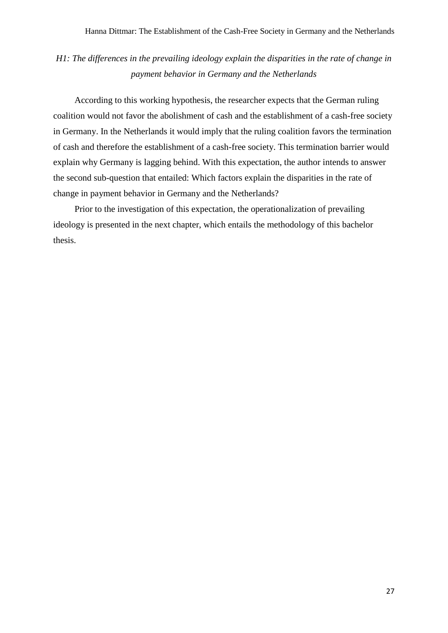## *H1: The differences in the prevailing ideology explain the disparities in the rate of change in payment behavior in Germany and the Netherlands*

According to this working hypothesis, the researcher expects that the German ruling coalition would not favor the abolishment of cash and the establishment of a cash-free society in Germany. In the Netherlands it would imply that the ruling coalition favors the termination of cash and therefore the establishment of a cash-free society. This termination barrier would explain why Germany is lagging behind. With this expectation, the author intends to answer the second sub-question that entailed: Which factors explain the disparities in the rate of change in payment behavior in Germany and the Netherlands?

Prior to the investigation of this expectation, the operationalization of prevailing ideology is presented in the next chapter, which entails the methodology of this bachelor thesis.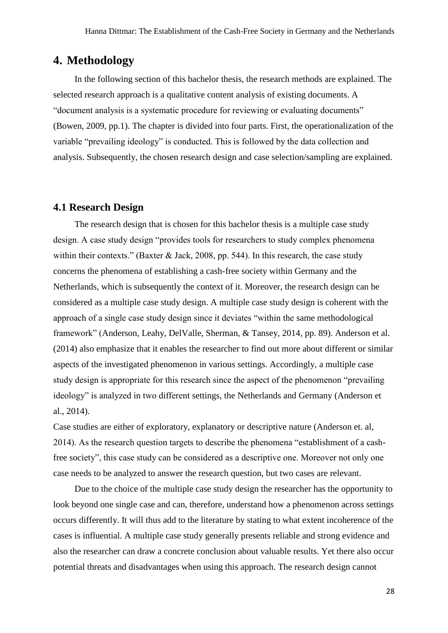### <span id="page-27-0"></span>**4. Methodology**

In the following section of this bachelor thesis, the research methods are explained. The selected research approach is a qualitative content analysis of existing documents. A "document analysis is a systematic procedure for reviewing or evaluating documents" (Bowen, 2009, pp.1). The chapter is divided into four parts. First, the operationalization of the variable "prevailing ideology" is conducted. This is followed by the data collection and analysis. Subsequently, the chosen research design and case selection/sampling are explained.

#### <span id="page-27-1"></span>**4.1 Research Design**

The research design that is chosen for this bachelor thesis is a multiple case study design. A case study design "provides tools for researchers to study complex phenomena within their contexts." (Baxter & Jack, 2008, pp. 544). In this research, the case study concerns the phenomena of establishing a cash-free society within Germany and the Netherlands, which is subsequently the context of it. Moreover, the research design can be considered as a multiple case study design. A multiple case study design is coherent with the approach of a single case study design since it deviates "within the same methodological framework" (Anderson, Leahy, DelValle, Sherman, & Tansey, 2014, pp. 89). Anderson et al. (2014) also emphasize that it enables the researcher to find out more about different or similar aspects of the investigated phenomenon in various settings. Accordingly, a multiple case study design is appropriate for this research since the aspect of the phenomenon "prevailing ideology" is analyzed in two different settings, the Netherlands and Germany (Anderson et al., 2014).

Case studies are either of exploratory, explanatory or descriptive nature (Anderson et. al, 2014). As the research question targets to describe the phenomena "establishment of a cashfree society", this case study can be considered as a descriptive one. Moreover not only one case needs to be analyzed to answer the research question, but two cases are relevant.

Due to the choice of the multiple case study design the researcher has the opportunity to look beyond one single case and can, therefore, understand how a phenomenon across settings occurs differently. It will thus add to the literature by stating to what extent incoherence of the cases is influential. A multiple case study generally presents reliable and strong evidence and also the researcher can draw a concrete conclusion about valuable results. Yet there also occur potential threats and disadvantages when using this approach. The research design cannot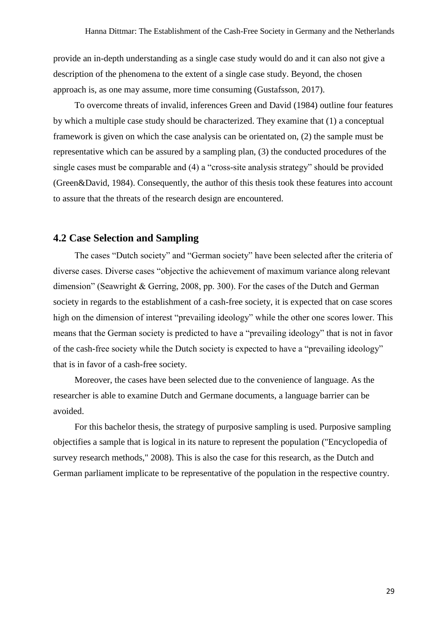provide an in-depth understanding as a single case study would do and it can also not give a description of the phenomena to the extent of a single case study. Beyond, the chosen approach is, as one may assume, more time consuming (Gustafsson, 2017).

To overcome threats of invalid, inferences Green and David (1984) outline four features by which a multiple case study should be characterized. They examine that (1) a conceptual framework is given on which the case analysis can be orientated on, (2) the sample must be representative which can be assured by a sampling plan, (3) the conducted procedures of the single cases must be comparable and (4) a "cross-site analysis strategy" should be provided (Green&David, 1984). Consequently, the author of this thesis took these features into account to assure that the threats of the research design are encountered.

### <span id="page-28-0"></span>**4.2 Case Selection and Sampling**

The cases "Dutch society" and "German society" have been selected after the criteria of diverse cases. Diverse cases "objective the achievement of maximum variance along relevant dimension" (Seawright & Gerring, 2008, pp. 300). For the cases of the Dutch and German society in regards to the establishment of a cash-free society, it is expected that on case scores high on the dimension of interest "prevailing ideology" while the other one scores lower. This means that the German society is predicted to have a "prevailing ideology" that is not in favor of the cash-free society while the Dutch society is expected to have a "prevailing ideology" that is in favor of a cash-free society.

Moreover, the cases have been selected due to the convenience of language. As the researcher is able to examine Dutch and Germane documents, a language barrier can be avoided.

For this bachelor thesis, the strategy of purposive sampling is used. Purposive sampling objectifies a sample that is logical in its nature to represent the population ("Encyclopedia of survey research methods," 2008). This is also the case for this research, as the Dutch and German parliament implicate to be representative of the population in the respective country.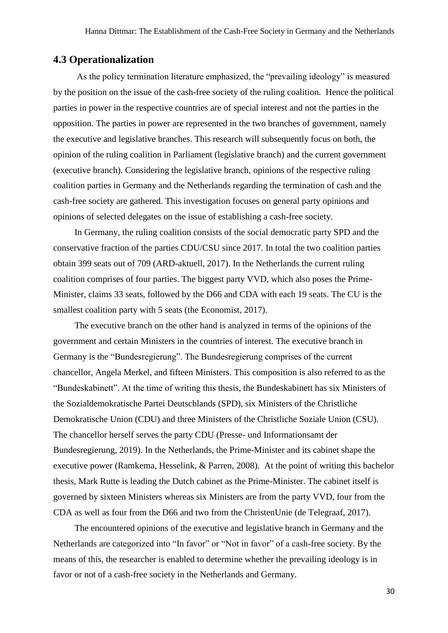### <span id="page-29-0"></span>**4.3 Operationalization**

As the policy termination literature emphasized, the "prevailing ideology" is measured by the position on the issue of the cash-free society of the ruling coalition. Hence the political parties in power in the respective countries are of special interest and not the parties in the opposition. The parties in power are represented in the two branches of government, namely the executive and legislative branches. This research will subsequently focus on both, the opinion of the ruling coalition in Parliament (legislative branch) and the current government (executive branch). Considering the legislative branch, opinions of the respective ruling coalition parties in Germany and the Netherlands regarding the termination of cash and the cash-free society are gathered. This investigation focuses on general party opinions and opinions of selected delegates on the issue of establishing a cash-free society.

In Germany, the ruling coalition consists of the social democratic party SPD and the conservative fraction of the parties CDU/CSU since 2017. In total the two coalition parties obtain 399 seats out of 709 (ARD-aktuell, 2017). In the Netherlands the current ruling coalition comprises of four parties. The biggest party VVD, which also poses the Prime-Minister, claims 33 seats, followed by the D66 and CDA with each 19 seats. The CU is the smallest coalition party with 5 seats (the Economist, 2017).

The executive branch on the other hand is analyzed in terms of the opinions of the government and certain Ministers in the countries of interest. The executive branch in Germany is the "Bundesregierung". The Bundesregierung comprises of the current chancellor, Angela Merkel, and fifteen Ministers. This composition is also referred to as the "Bundeskabinett". At the time of writing this thesis, the Bundeskabinett has six Ministers of the Sozialdemokratische Partei Deutschlands (SPD), six Ministers of the Christliche Demokratische Union (CDU) and three Ministers of the Christliche Soziale Union (CSU). The chancellor herself serves the party CDU (Presse- und Informationsamt der Bundesregierung, 2019). In the Netherlands, the Prime-Minister and its cabinet shape the executive power (Ramkema, Hesselink, & Parren, 2008). At the point of writing this bachelor thesis, Mark Rutte is leading the Dutch cabinet as the Prime-Minister. The cabinet itself is governed by sixteen Ministers whereas six Ministers are from the party VVD, four from the CDA as well as four from the D66 and two from the ChristenUnie (de Telegraaf, 2017).

The encountered opinions of the executive and legislative branch in Germany and the Netherlands are categorized into "In favor" or "Not in favor" of a cash-free society. By the means of this, the researcher is enabled to determine whether the prevailing ideology is in favor or not of a cash-free society in the Netherlands and Germany.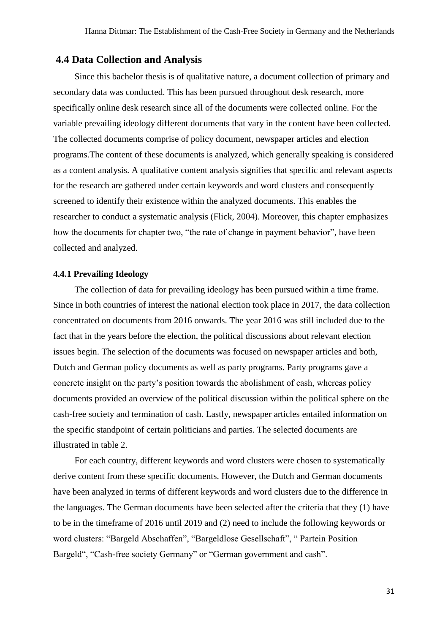### <span id="page-30-0"></span>**4.4 Data Collection and Analysis**

Since this bachelor thesis is of qualitative nature, a document collection of primary and secondary data was conducted. This has been pursued throughout desk research, more specifically online desk research since all of the documents were collected online. For the variable prevailing ideology different documents that vary in the content have been collected. The collected documents comprise of policy document, newspaper articles and election programs.The content of these documents is analyzed, which generally speaking is considered as a content analysis. A qualitative content analysis signifies that specific and relevant aspects for the research are gathered under certain keywords and word clusters and consequently screened to identify their existence within the analyzed documents. This enables the researcher to conduct a systematic analysis (Flick, 2004). Moreover, this chapter emphasizes how the documents for chapter two, "the rate of change in payment behavior", have been collected and analyzed.

#### <span id="page-30-1"></span>**4.4.1 Prevailing Ideology**

The collection of data for prevailing ideology has been pursued within a time frame. Since in both countries of interest the national election took place in 2017, the data collection concentrated on documents from 2016 onwards. The year 2016 was still included due to the fact that in the years before the election, the political discussions about relevant election issues begin. The selection of the documents was focused on newspaper articles and both, Dutch and German policy documents as well as party programs. Party programs gave a concrete insight on the party's position towards the abolishment of cash, whereas policy documents provided an overview of the political discussion within the political sphere on the cash-free society and termination of cash. Lastly, newspaper articles entailed information on the specific standpoint of certain politicians and parties. The selected documents are illustrated in table 2.

For each country, different keywords and word clusters were chosen to systematically derive content from these specific documents. However, the Dutch and German documents have been analyzed in terms of different keywords and word clusters due to the difference in the languages. The German documents have been selected after the criteria that they (1) have to be in the timeframe of 2016 until 2019 and (2) need to include the following keywords or word clusters: "Bargeld Abschaffen", "Bargeldlose Gesellschaft", " Partein Position Bargeld", "Cash-free society Germany" or "German government and cash".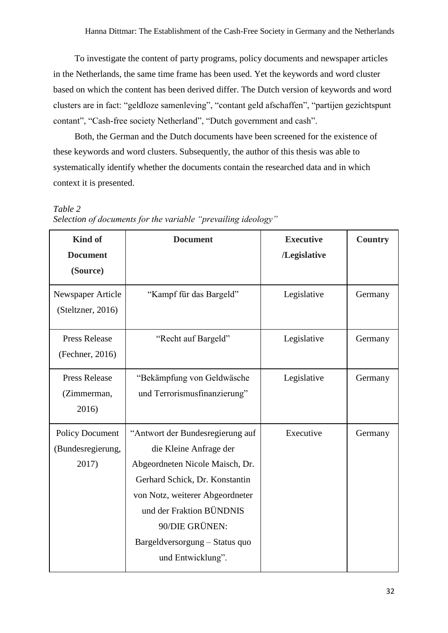To investigate the content of party programs, policy documents and newspaper articles in the Netherlands, the same time frame has been used. Yet the keywords and word cluster based on which the content has been derived differ. The Dutch version of keywords and word clusters are in fact: "geldloze samenleving", "contant geld afschaffen", "partijen gezichtspunt contant", "Cash-free society Netherland", "Dutch government and cash".

Both, the German and the Dutch documents have been screened for the existence of these keywords and word clusters. Subsequently, the author of this thesis was able to systematically identify whether the documents contain the researched data and in which context it is presented.

| <b>Kind of</b><br><b>Document</b><br>(Source)        | <b>Document</b>                                                                                                                                                                                                                                                         | <b>Executive</b><br>/Legislative | <b>Country</b> |
|------------------------------------------------------|-------------------------------------------------------------------------------------------------------------------------------------------------------------------------------------------------------------------------------------------------------------------------|----------------------------------|----------------|
| Newspaper Article<br>(Steltzner, 2016)               | "Kampf für das Bargeld"                                                                                                                                                                                                                                                 | Legislative                      | Germany        |
| <b>Press Release</b><br>(Fechner, 2016)              | "Recht auf Bargeld"                                                                                                                                                                                                                                                     | Legislative                      | Germany        |
| <b>Press Release</b><br>(Zimmerman,<br>2016)         | "Bekämpfung von Geldwäsche<br>und Terrorismusfinanzierung"                                                                                                                                                                                                              | Legislative                      | Germany        |
| <b>Policy Document</b><br>(Bundesregierung,<br>2017) | "Antwort der Bundesregierung auf<br>die Kleine Anfrage der<br>Abgeordneten Nicole Maisch, Dr.<br>Gerhard Schick, Dr. Konstantin<br>von Notz, weiterer Abgeordneter<br>und der Fraktion BÜNDNIS<br>90/DIE GRÜNEN:<br>Bargeldversorgung - Status quo<br>und Entwicklung". | Executive                        | Germany        |

<span id="page-31-0"></span>*Table 2 Selection of documents for the variable "prevailing ideology"*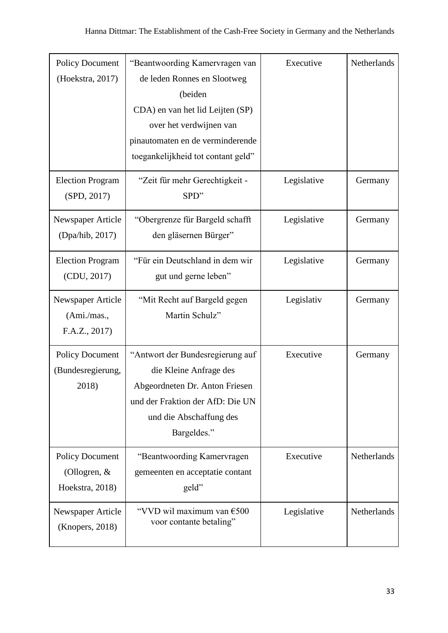| <b>Policy Document</b><br>(Hoekstra, 2017)                  | "Beantwoording Kamervragen van<br>de leden Ronnes en Slootweg<br>(beiden<br>CDA) en van het lid Leijten (SP)<br>over het verdwijnen van<br>pinautomaten en de verminderende<br>toegankelijkheid tot contant geld" | Executive   | Netherlands |
|-------------------------------------------------------------|-------------------------------------------------------------------------------------------------------------------------------------------------------------------------------------------------------------------|-------------|-------------|
| <b>Election Program</b><br>(SPD, 2017)                      | "Zeit für mehr Gerechtigkeit -<br>SPD"                                                                                                                                                                            | Legislative | Germany     |
| Newspaper Article<br>(Dpa/hib, 2017)                        | "Obergrenze für Bargeld schafft<br>den gläsernen Bürger"                                                                                                                                                          | Legislative | Germany     |
| <b>Election Program</b><br>(CDU, 2017)                      | "Für ein Deutschland in dem wir<br>gut und gerne leben"                                                                                                                                                           | Legislative | Germany     |
| Newspaper Article<br>(Ami./mas.,<br>F.A.Z., 2017)           | "Mit Recht auf Bargeld gegen<br>Martin Schulz"                                                                                                                                                                    | Legislativ  | Germany     |
| <b>Policy Document</b><br>(Bundesregierung,<br>2018)        | "Antwort der Bundesregierung auf<br>die Kleine Anfrage des<br>Abgeordneten Dr. Anton Friesen<br>und der Fraktion der AfD: Die UN<br>und die Abschaffung des<br>Bargeldes."                                        | Executive   | Germany     |
| <b>Policy Document</b><br>(Ollogren, $&$<br>Hoekstra, 2018) | "Beantwoording Kamervragen<br>gemeenten en acceptatie contant<br>geld"                                                                                                                                            | Executive   | Netherlands |
| Newspaper Article<br>(Knopers, 2018)                        | "VVD wil maximum van €500<br>voor contante betaling"                                                                                                                                                              | Legislative | Netherlands |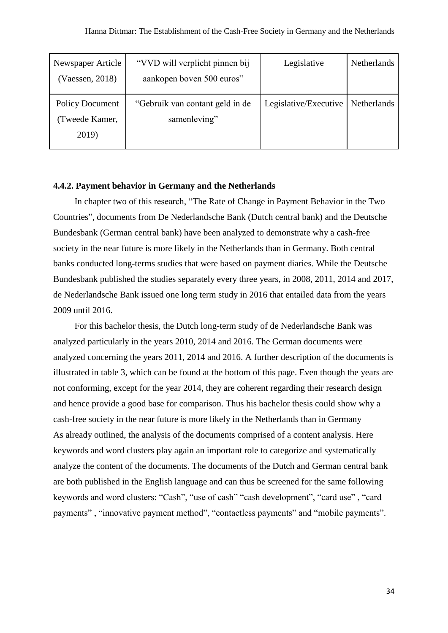| Newspaper Article      | "VVD will verplicht pinnen bij  | Legislative           | <b>Netherlands</b> |
|------------------------|---------------------------------|-----------------------|--------------------|
| (Vaessen, 2018)        | aankopen boven 500 euros"       |                       |                    |
| <b>Policy Document</b> | "Gebruik van contant geld in de | Legislative/Executive | Netherlands        |
| (Tweede Kamer,         | samenleving"                    |                       |                    |
| 2019)                  |                                 |                       |                    |

#### <span id="page-33-0"></span>**4.4.2. Payment behavior in Germany and the Netherlands**

In chapter two of this research, "The Rate of Change in Payment Behavior in the Two Countries", documents from De Nederlandsche Bank (Dutch central bank) and the Deutsche Bundesbank (German central bank) have been analyzed to demonstrate why a cash-free society in the near future is more likely in the Netherlands than in Germany. Both central banks conducted long-terms studies that were based on payment diaries. While the Deutsche Bundesbank published the studies separately every three years, in 2008, 2011, 2014 and 2017, de Nederlandsche Bank issued one long term study in 2016 that entailed data from the years 2009 until 2016.

<span id="page-33-1"></span>For this bachelor thesis, the Dutch long-term study of de Nederlandsche Bank was analyzed particularly in the years 2010, 2014 and 2016. The German documents were analyzed concerning the years 2011, 2014 and 2016. A further description of the documents is illustrated in table 3, which can be found at the bottom of this page. Even though the years are not conforming, except for the year 2014, they are coherent regarding their research design and hence provide a good base for comparison. Thus his bachelor thesis could show why a cash-free society in the near future is more likely in the Netherlands than in Germany As already outlined, the analysis of the documents comprised of a content analysis. Here keywords and word clusters play again an important role to categorize and systematically analyze the content of the documents. The documents of the Dutch and German central bank are both published in the English language and can thus be screened for the same following keywords and word clusters: "Cash", "use of cash" "cash development", "card use" , "card payments" , "innovative payment method", "contactless payments" and "mobile payments".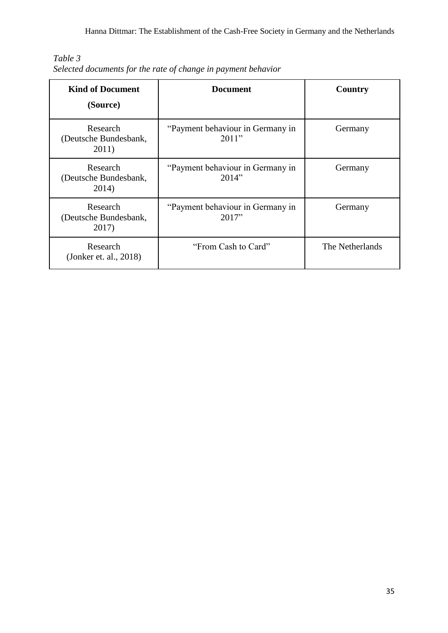|  |  | Selected documents for the rate of change in payment behavior |
|--|--|---------------------------------------------------------------|

| <b>Kind of Document</b><br>(Source)        | <b>Document</b>                           | Country         |
|--------------------------------------------|-------------------------------------------|-----------------|
| Research<br>(Deutsche Bundesbank,<br>2011) | "Payment behaviour in Germany in<br>2011" | Germany         |
| Research<br>(Deutsche Bundesbank,<br>2014) | "Payment behaviour in Germany in<br>2014" | Germany         |
| Research<br>(Deutsche Bundesbank,<br>2017) | "Payment behaviour in Germany in<br>2017" | Germany         |
| Research<br>(Jonker et. al., 2018)         | "From Cash to Card"                       | The Netherlands |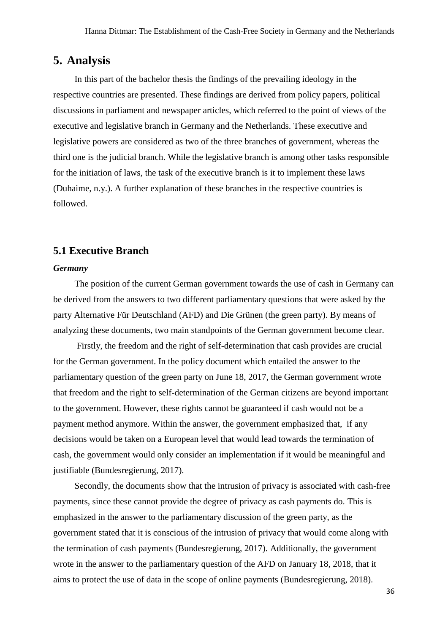### <span id="page-35-0"></span>**5. Analysis**

In this part of the bachelor thesis the findings of the prevailing ideology in the respective countries are presented. These findings are derived from policy papers, political discussions in parliament and newspaper articles, which referred to the point of views of the executive and legislative branch in Germany and the Netherlands. These executive and legislative powers are considered as two of the three branches of government, whereas the third one is the judicial branch. While the legislative branch is among other tasks responsible for the initiation of laws, the task of the executive branch is it to implement these laws (Duhaime, n.y.). A further explanation of these branches in the respective countries is followed.

### <span id="page-35-1"></span>**5.1 Executive Branch**

#### *Germany*

The position of the current German government towards the use of cash in Germany can be derived from the answers to two different parliamentary questions that were asked by the party Alternative Für Deutschland (AFD) and Die Grünen (the green party). By means of analyzing these documents, two main standpoints of the German government become clear.

Firstly, the freedom and the right of self-determination that cash provides are crucial for the German government. In the policy document which entailed the answer to the parliamentary question of the green party on June 18, 2017, the German government wrote that freedom and the right to self-determination of the German citizens are beyond important to the government. However, these rights cannot be guaranteed if cash would not be a payment method anymore. Within the answer, the government emphasized that, if any decisions would be taken on a European level that would lead towards the termination of cash, the government would only consider an implementation if it would be meaningful and justifiable (Bundesregierung, 2017).

Secondly, the documents show that the intrusion of privacy is associated with cash-free payments, since these cannot provide the degree of privacy as cash payments do. This is emphasized in the answer to the parliamentary discussion of the green party, as the government stated that it is conscious of the intrusion of privacy that would come along with the termination of cash payments (Bundesregierung, 2017). Additionally, the government wrote in the answer to the parliamentary question of the AFD on January 18, 2018, that it aims to protect the use of data in the scope of online payments (Bundesregierung, 2018).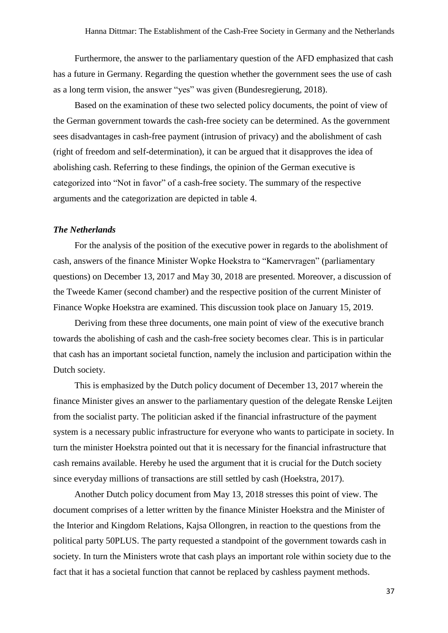Furthermore, the answer to the parliamentary question of the AFD emphasized that cash has a future in Germany. Regarding the question whether the government sees the use of cash as a long term vision, the answer "yes" was given (Bundesregierung, 2018).

Based on the examination of these two selected policy documents, the point of view of the German government towards the cash-free society can be determined. As the government sees disadvantages in cash-free payment (intrusion of privacy) and the abolishment of cash (right of freedom and self-determination), it can be argued that it disapproves the idea of abolishing cash. Referring to these findings, the opinion of the German executive is categorized into "Not in favor" of a cash-free society. The summary of the respective arguments and the categorization are depicted in table 4.

#### *The Netherlands*

For the analysis of the position of the executive power in regards to the abolishment of cash, answers of the finance Minister Wopke Hoekstra to "Kamervragen" (parliamentary questions) on December 13, 2017 and May 30, 2018 are presented. Moreover, a discussion of the Tweede Kamer (second chamber) and the respective position of the current Minister of Finance Wopke Hoekstra are examined. This discussion took place on January 15, 2019.

Deriving from these three documents, one main point of view of the executive branch towards the abolishing of cash and the cash-free society becomes clear. This is in particular that cash has an important societal function, namely the inclusion and participation within the Dutch society.

This is emphasized by the Dutch policy document of December 13, 2017 wherein the finance Minister gives an answer to the parliamentary question of the delegate Renske Leijten from the socialist party. The politician asked if the financial infrastructure of the payment system is a necessary public infrastructure for everyone who wants to participate in society. In turn the minister Hoekstra pointed out that it is necessary for the financial infrastructure that cash remains available. Hereby he used the argument that it is crucial for the Dutch society since everyday millions of transactions are still settled by cash (Hoekstra, 2017).

Another Dutch policy document from May 13, 2018 stresses this point of view. The document comprises of a letter written by the finance Minister Hoekstra and the Minister of the Interior and Kingdom Relations, Kajsa Ollongren, in reaction to the questions from the political party 50PLUS. The party requested a standpoint of the government towards cash in society. In turn the Ministers wrote that cash plays an important role within society due to the fact that it has a societal function that cannot be replaced by cashless payment methods.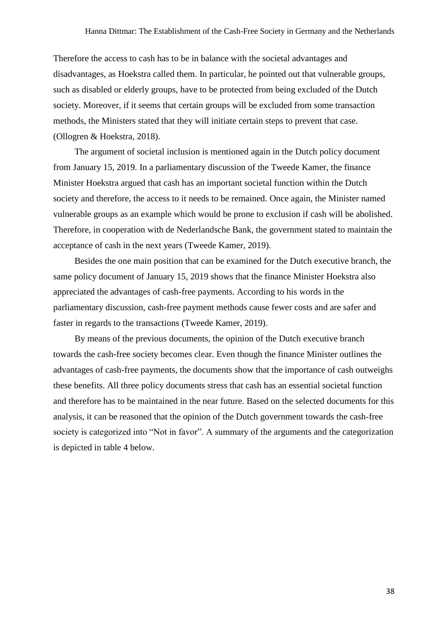Therefore the access to cash has to be in balance with the societal advantages and disadvantages, as Hoekstra called them. In particular, he pointed out that vulnerable groups, such as disabled or elderly groups, have to be protected from being excluded of the Dutch society. Moreover, if it seems that certain groups will be excluded from some transaction methods, the Ministers stated that they will initiate certain steps to prevent that case. (Ollogren & Hoekstra, 2018).

The argument of societal inclusion is mentioned again in the Dutch policy document from January 15, 2019. In a parliamentary discussion of the Tweede Kamer, the finance Minister Hoekstra argued that cash has an important societal function within the Dutch society and therefore, the access to it needs to be remained. Once again, the Minister named vulnerable groups as an example which would be prone to exclusion if cash will be abolished. Therefore, in cooperation with de Nederlandsche Bank, the government stated to maintain the acceptance of cash in the next years (Tweede Kamer, 2019).

Besides the one main position that can be examined for the Dutch executive branch, the same policy document of January 15, 2019 shows that the finance Minister Hoekstra also appreciated the advantages of cash-free payments. According to his words in the parliamentary discussion, cash-free payment methods cause fewer costs and are safer and faster in regards to the transactions (Tweede Kamer, 2019).

By means of the previous documents, the opinion of the Dutch executive branch towards the cash-free society becomes clear. Even though the finance Minister outlines the advantages of cash-free payments, the documents show that the importance of cash outweighs these benefits. All three policy documents stress that cash has an essential societal function and therefore has to be maintained in the near future. Based on the selected documents for this analysis, it can be reasoned that the opinion of the Dutch government towards the cash-free society is categorized into "Not in favor". A summary of the arguments and the categorization is depicted in table 4 below.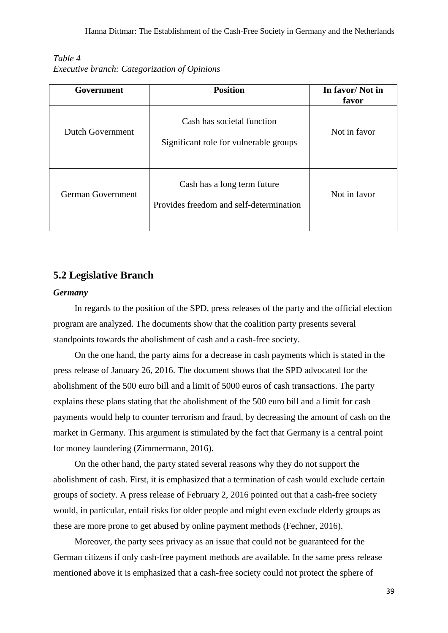<span id="page-38-1"></span>

| Table 4 |                                                     |
|---------|-----------------------------------------------------|
|         | <i>Executive branch: Categorization of Opinions</i> |

| Government        | <b>Position</b>                                                        | In favor/Not in<br>favor |
|-------------------|------------------------------------------------------------------------|--------------------------|
| Dutch Government  | Cash has societal function<br>Significant role for vulnerable groups   | Not in favor             |
| German Government | Cash has a long term future<br>Provides freedom and self-determination | Not in favor             |

### <span id="page-38-0"></span>**5.2 Legislative Branch**

#### *Germany*

In regards to the position of the SPD, press releases of the party and the official election program are analyzed. The documents show that the coalition party presents several standpoints towards the abolishment of cash and a cash-free society.

On the one hand, the party aims for a decrease in cash payments which is stated in the press release of January 26, 2016. The document shows that the SPD advocated for the abolishment of the 500 euro bill and a limit of 5000 euros of cash transactions. The party explains these plans stating that the abolishment of the 500 euro bill and a limit for cash payments would help to counter terrorism and fraud, by decreasing the amount of cash on the market in Germany. This argument is stimulated by the fact that Germany is a central point for money laundering (Zimmermann, 2016).

On the other hand, the party stated several reasons why they do not support the abolishment of cash. First, it is emphasized that a termination of cash would exclude certain groups of society. A press release of February 2, 2016 pointed out that a cash-free society would, in particular, entail risks for older people and might even exclude elderly groups as these are more prone to get abused by online payment methods (Fechner, 2016).

Moreover, the party sees privacy as an issue that could not be guaranteed for the German citizens if only cash-free payment methods are available. In the same press release mentioned above it is emphasized that a cash-free society could not protect the sphere of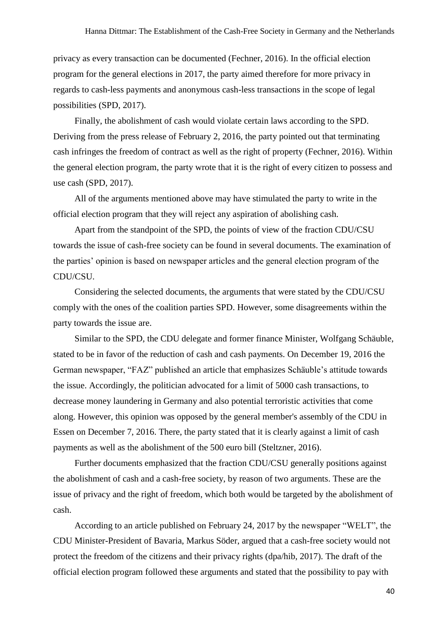privacy as every transaction can be documented (Fechner, 2016). In the official election program for the general elections in 2017, the party aimed therefore for more privacy in regards to cash-less payments and anonymous cash-less transactions in the scope of legal possibilities (SPD, 2017).

Finally, the abolishment of cash would violate certain laws according to the SPD. Deriving from the press release of February 2, 2016, the party pointed out that terminating cash infringes the freedom of contract as well as the right of property (Fechner, 2016). Within the general election program, the party wrote that it is the right of every citizen to possess and use cash (SPD, 2017).

All of the arguments mentioned above may have stimulated the party to write in the official election program that they will reject any aspiration of abolishing cash.

Apart from the standpoint of the SPD, the points of view of the fraction CDU/CSU towards the issue of cash-free society can be found in several documents. The examination of the parties' opinion is based on newspaper articles and the general election program of the CDU/CSU.

Considering the selected documents, the arguments that were stated by the CDU/CSU comply with the ones of the coalition parties SPD. However, some disagreements within the party towards the issue are.

Similar to the SPD, the CDU delegate and former finance Minister, Wolfgang Schäuble, stated to be in favor of the reduction of cash and cash payments. On December 19, 2016 the German newspaper, "FAZ" published an article that emphasizes Schäuble's attitude towards the issue. Accordingly, the politician advocated for a limit of 5000 cash transactions, to decrease money laundering in Germany and also potential terroristic activities that come along. However, this opinion was opposed by the general member's assembly of the CDU in Essen on December 7, 2016. There, the party stated that it is clearly against a limit of cash payments as well as the abolishment of the 500 euro bill (Steltzner, 2016).

Further documents emphasized that the fraction CDU/CSU generally positions against the abolishment of cash and a cash-free society, by reason of two arguments. These are the issue of privacy and the right of freedom, which both would be targeted by the abolishment of cash.

According to an article published on February 24, 2017 by the newspaper "WELT", the CDU Minister-President of Bavaria, Markus Söder, argued that a cash-free society would not protect the freedom of the citizens and their privacy rights (dpa/hib, 2017). The draft of the official election program followed these arguments and stated that the possibility to pay with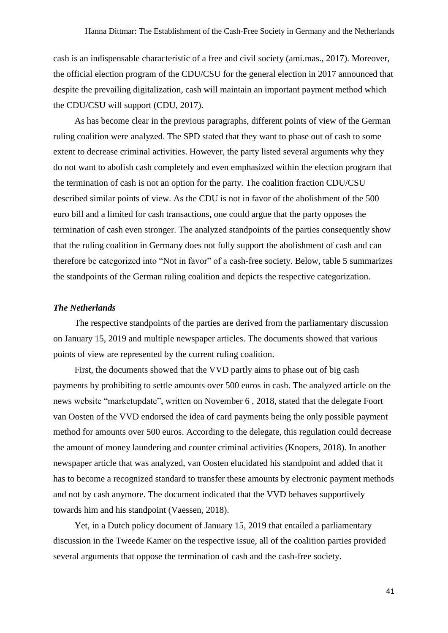cash is an indispensable characteristic of a free and civil society (ami.mas., 2017). Moreover, the official election program of the CDU/CSU for the general election in 2017 announced that despite the prevailing digitalization, cash will maintain an important payment method which the CDU/CSU will support (CDU, 2017).

As has become clear in the previous paragraphs, different points of view of the German ruling coalition were analyzed. The SPD stated that they want to phase out of cash to some extent to decrease criminal activities. However, the party listed several arguments why they do not want to abolish cash completely and even emphasized within the election program that the termination of cash is not an option for the party. The coalition fraction CDU/CSU described similar points of view. As the CDU is not in favor of the abolishment of the 500 euro bill and a limited for cash transactions, one could argue that the party opposes the termination of cash even stronger. The analyzed standpoints of the parties consequently show that the ruling coalition in Germany does not fully support the abolishment of cash and can therefore be categorized into "Not in favor" of a cash-free society. Below, table 5 summarizes the standpoints of the German ruling coalition and depicts the respective categorization.

#### *The Netherlands*

The respective standpoints of the parties are derived from the parliamentary discussion on January 15, 2019 and multiple newspaper articles. The documents showed that various points of view are represented by the current ruling coalition.

First, the documents showed that the VVD partly aims to phase out of big cash payments by prohibiting to settle amounts over 500 euros in cash. The analyzed article on the news website "marketupdate", written on November 6 , 2018, stated that the delegate Foort van Oosten of the VVD endorsed the idea of card payments being the only possible payment method for amounts over 500 euros. According to the delegate, this regulation could decrease the amount of money laundering and counter criminal activities (Knopers, 2018). In another newspaper article that was analyzed, van Oosten elucidated his standpoint and added that it has to become a recognized standard to transfer these amounts by electronic payment methods and not by cash anymore. The document indicated that the VVD behaves supportively towards him and his standpoint (Vaessen, 2018).

Yet, in a Dutch policy document of January 15, 2019 that entailed a parliamentary discussion in the Tweede Kamer on the respective issue, all of the coalition parties provided several arguments that oppose the termination of cash and the cash-free society.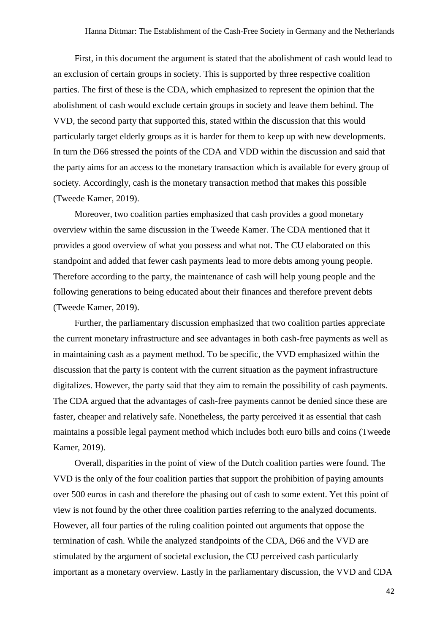First, in this document the argument is stated that the abolishment of cash would lead to an exclusion of certain groups in society. This is supported by three respective coalition parties. The first of these is the CDA, which emphasized to represent the opinion that the abolishment of cash would exclude certain groups in society and leave them behind. The VVD, the second party that supported this, stated within the discussion that this would particularly target elderly groups as it is harder for them to keep up with new developments. In turn the D66 stressed the points of the CDA and VDD within the discussion and said that the party aims for an access to the monetary transaction which is available for every group of society. Accordingly, cash is the monetary transaction method that makes this possible (Tweede Kamer, 2019).

Moreover, two coalition parties emphasized that cash provides a good monetary overview within the same discussion in the Tweede Kamer. The CDA mentioned that it provides a good overview of what you possess and what not. The CU elaborated on this standpoint and added that fewer cash payments lead to more debts among young people. Therefore according to the party, the maintenance of cash will help young people and the following generations to being educated about their finances and therefore prevent debts (Tweede Kamer, 2019).

Further, the parliamentary discussion emphasized that two coalition parties appreciate the current monetary infrastructure and see advantages in both cash-free payments as well as in maintaining cash as a payment method. To be specific, the VVD emphasized within the discussion that the party is content with the current situation as the payment infrastructure digitalizes. However, the party said that they aim to remain the possibility of cash payments. The CDA argued that the advantages of cash-free payments cannot be denied since these are faster, cheaper and relatively safe. Nonetheless, the party perceived it as essential that cash maintains a possible legal payment method which includes both euro bills and coins (Tweede Kamer, 2019).

Overall, disparities in the point of view of the Dutch coalition parties were found. The VVD is the only of the four coalition parties that support the prohibition of paying amounts over 500 euros in cash and therefore the phasing out of cash to some extent. Yet this point of view is not found by the other three coalition parties referring to the analyzed documents. However, all four parties of the ruling coalition pointed out arguments that oppose the termination of cash. While the analyzed standpoints of the CDA, D66 and the VVD are stimulated by the argument of societal exclusion, the CU perceived cash particularly important as a monetary overview. Lastly in the parliamentary discussion, the VVD and CDA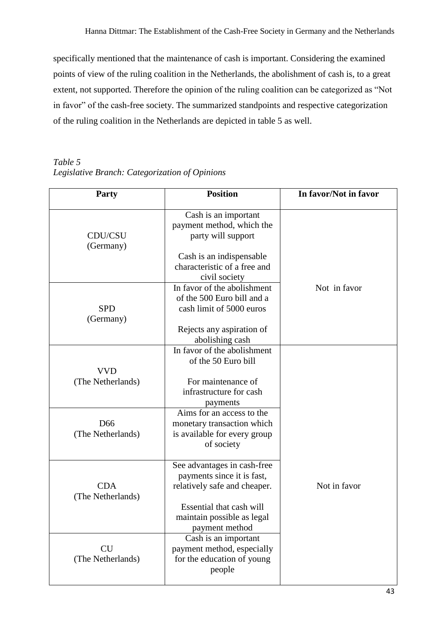specifically mentioned that the maintenance of cash is important. Considering the examined points of view of the ruling coalition in the Netherlands, the abolishment of cash is, to a great extent, not supported. Therefore the opinion of the ruling coalition can be categorized as "Not in favor" of the cash-free society. The summarized standpoints and respective categorization of the ruling coalition in the Netherlands are depicted in table 5 as well.

<span id="page-42-0"></span>*Table 5 Legislative Branch: Categorization of Opinions* 

| <b>Party</b>                         | <b>Position</b>                                                                                                                                                       | In favor/Not in favor |
|--------------------------------------|-----------------------------------------------------------------------------------------------------------------------------------------------------------------------|-----------------------|
| CDU/CSU<br>(Germany)                 | Cash is an important<br>payment method, which the<br>party will support<br>Cash is an indispensable<br>characteristic of a free and<br>civil society                  |                       |
| <b>SPD</b><br>(Germany)              | In favor of the abolishment<br>of the 500 Euro bill and a<br>cash limit of 5000 euros<br>Rejects any aspiration of<br>abolishing cash                                 | Not in favor          |
| <b>VVD</b><br>(The Netherlands)      | In favor of the abolishment<br>of the 50 Euro bill<br>For maintenance of<br>infrastructure for cash<br>payments                                                       |                       |
| D <sub>66</sub><br>(The Netherlands) | Aims for an access to the<br>monetary transaction which<br>is available for every group<br>of society                                                                 |                       |
| <b>CDA</b><br>(The Netherlands)      | See advantages in cash-free<br>payments since it is fast,<br>relatively safe and cheaper.<br>Essential that cash will<br>maintain possible as legal<br>payment method | Not in favor          |
| <b>CU</b><br>(The Netherlands)       | Cash is an important<br>payment method, especially<br>for the education of young<br>people                                                                            |                       |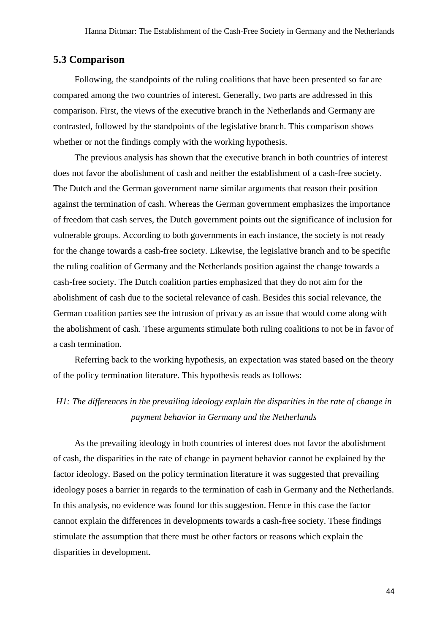### <span id="page-43-0"></span>**5.3 Comparison**

Following, the standpoints of the ruling coalitions that have been presented so far are compared among the two countries of interest. Generally, two parts are addressed in this comparison. First, the views of the executive branch in the Netherlands and Germany are contrasted, followed by the standpoints of the legislative branch. This comparison shows whether or not the findings comply with the working hypothesis.

The previous analysis has shown that the executive branch in both countries of interest does not favor the abolishment of cash and neither the establishment of a cash-free society. The Dutch and the German government name similar arguments that reason their position against the termination of cash. Whereas the German government emphasizes the importance of freedom that cash serves, the Dutch government points out the significance of inclusion for vulnerable groups. According to both governments in each instance, the society is not ready for the change towards a cash-free society. Likewise, the legislative branch and to be specific the ruling coalition of Germany and the Netherlands position against the change towards a cash-free society. The Dutch coalition parties emphasized that they do not aim for the abolishment of cash due to the societal relevance of cash. Besides this social relevance, the German coalition parties see the intrusion of privacy as an issue that would come along with the abolishment of cash. These arguments stimulate both ruling coalitions to not be in favor of a cash termination.

Referring back to the working hypothesis, an expectation was stated based on the theory of the policy termination literature. This hypothesis reads as follows:

## *H1: The differences in the prevailing ideology explain the disparities in the rate of change in payment behavior in Germany and the Netherlands*

As the prevailing ideology in both countries of interest does not favor the abolishment of cash, the disparities in the rate of change in payment behavior cannot be explained by the factor ideology. Based on the policy termination literature it was suggested that prevailing ideology poses a barrier in regards to the termination of cash in Germany and the Netherlands. In this analysis, no evidence was found for this suggestion. Hence in this case the factor cannot explain the differences in developments towards a cash-free society. These findings stimulate the assumption that there must be other factors or reasons which explain the disparities in development.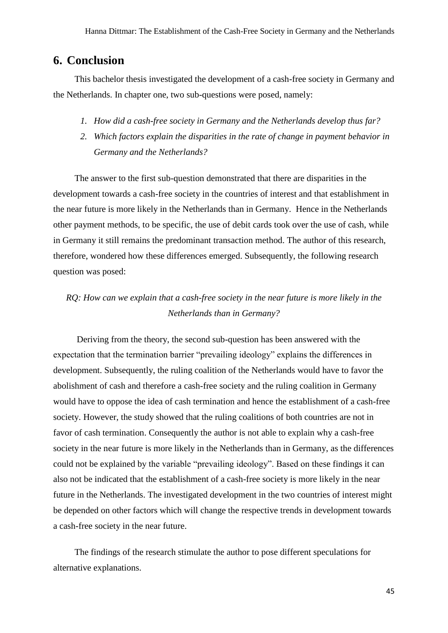### <span id="page-44-0"></span>**6. Conclusion**

This bachelor thesis investigated the development of a cash-free society in Germany and the Netherlands. In chapter one, two sub-questions were posed, namely:

- *1. How did a cash-free society in Germany and the Netherlands develop thus far?*
- *2. Which factors explain the disparities in the rate of change in payment behavior in Germany and the Netherlands?*

The answer to the first sub-question demonstrated that there are disparities in the development towards a cash-free society in the countries of interest and that establishment in the near future is more likely in the Netherlands than in Germany. Hence in the Netherlands other payment methods, to be specific, the use of debit cards took over the use of cash, while in Germany it still remains the predominant transaction method. The author of this research, therefore, wondered how these differences emerged. Subsequently, the following research question was posed:

## *RQ: How can we explain that a cash-free society in the near future is more likely in the Netherlands than in Germany?*

Deriving from the theory, the second sub-question has been answered with the expectation that the termination barrier "prevailing ideology" explains the differences in development. Subsequently, the ruling coalition of the Netherlands would have to favor the abolishment of cash and therefore a cash-free society and the ruling coalition in Germany would have to oppose the idea of cash termination and hence the establishment of a cash-free society. However, the study showed that the ruling coalitions of both countries are not in favor of cash termination. Consequently the author is not able to explain why a cash-free society in the near future is more likely in the Netherlands than in Germany, as the differences could not be explained by the variable "prevailing ideology". Based on these findings it can also not be indicated that the establishment of a cash-free society is more likely in the near future in the Netherlands. The investigated development in the two countries of interest might be depended on other factors which will change the respective trends in development towards a cash-free society in the near future.

The findings of the research stimulate the author to pose different speculations for alternative explanations.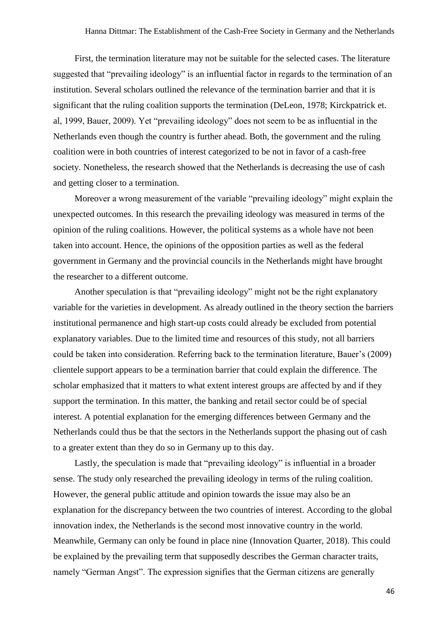First, the termination literature may not be suitable for the selected cases. The literature suggested that "prevailing ideology" is an influential factor in regards to the termination of an institution. Several scholars outlined the relevance of the termination barrier and that it is significant that the ruling coalition supports the termination (DeLeon, 1978; Kirckpatrick et. al, 1999, Bauer, 2009). Yet "prevailing ideology" does not seem to be as influential in the Netherlands even though the country is further ahead. Both, the government and the ruling coalition were in both countries of interest categorized to be not in favor of a cash-free society. Nonetheless, the research showed that the Netherlands is decreasing the use of cash and getting closer to a termination.

Moreover a wrong measurement of the variable "prevailing ideology" might explain the unexpected outcomes. In this research the prevailing ideology was measured in terms of the opinion of the ruling coalitions. However, the political systems as a whole have not been taken into account. Hence, the opinions of the opposition parties as well as the federal government in Germany and the provincial councils in the Netherlands might have brought the researcher to a different outcome.

Another speculation is that "prevailing ideology" might not be the right explanatory variable for the varieties in development. As already outlined in the theory section the barriers institutional permanence and high start-up costs could already be excluded from potential explanatory variables. Due to the limited time and resources of this study, not all barriers could be taken into consideration. Referring back to the termination literature, Bauer's (2009) clientele support appears to be a termination barrier that could explain the difference. The scholar emphasized that it matters to what extent interest groups are affected by and if they support the termination. In this matter, the banking and retail sector could be of special interest. A potential explanation for the emerging differences between Germany and the Netherlands could thus be that the sectors in the Netherlands support the phasing out of cash to a greater extent than they do so in Germany up to this day.

Lastly, the speculation is made that "prevailing ideology" is influential in a broader sense. The study only researched the prevailing ideology in terms of the ruling coalition. However, the general public attitude and opinion towards the issue may also be an explanation for the discrepancy between the two countries of interest. According to the global innovation index, the Netherlands is the second most innovative country in the world. Meanwhile, Germany can only be found in place nine (Innovation Quarter, 2018). This could be explained by the prevailing term that supposedly describes the German character traits, namely "German Angst". The expression signifies that the German citizens are generally

46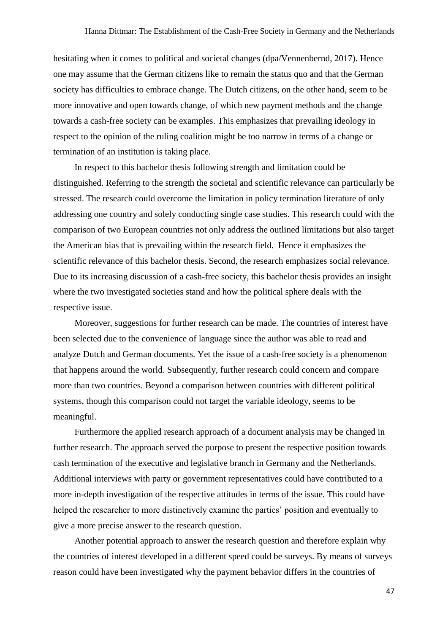hesitating when it comes to political and societal changes (dpa/Vennenbernd, 2017). Hence one may assume that the German citizens like to remain the status quo and that the German society has difficulties to embrace change. The Dutch citizens, on the other hand, seem to be more innovative and open towards change, of which new payment methods and the change towards a cash-free society can be examples. This emphasizes that prevailing ideology in respect to the opinion of the ruling coalition might be too narrow in terms of a change or termination of an institution is taking place.

In respect to this bachelor thesis following strength and limitation could be distinguished. Referring to the strength the societal and scientific relevance can particularly be stressed. The research could overcome the limitation in policy termination literature of only addressing one country and solely conducting single case studies. This research could with the comparison of two European countries not only address the outlined limitations but also target the American bias that is prevailing within the research field. Hence it emphasizes the scientific relevance of this bachelor thesis. Second, the research emphasizes social relevance. Due to its increasing discussion of a cash-free society, this bachelor thesis provides an insight where the two investigated societies stand and how the political sphere deals with the respective issue.

Moreover, suggestions for further research can be made. The countries of interest have been selected due to the convenience of language since the author was able to read and analyze Dutch and German documents. Yet the issue of a cash-free society is a phenomenon that happens around the world. Subsequently, further research could concern and compare more than two countries. Beyond a comparison between countries with different political systems, though this comparison could not target the variable ideology, seems to be meaningful.

Furthermore the applied research approach of a document analysis may be changed in further research. The approach served the purpose to present the respective position towards cash termination of the executive and legislative branch in Germany and the Netherlands. Additional interviews with party or government representatives could have contributed to a more in-depth investigation of the respective attitudes in terms of the issue. This could have helped the researcher to more distinctively examine the parties' position and eventually to give a more precise answer to the research question.

Another potential approach to answer the research question and therefore explain why the countries of interest developed in a different speed could be surveys. By means of surveys reason could have been investigated why the payment behavior differs in the countries of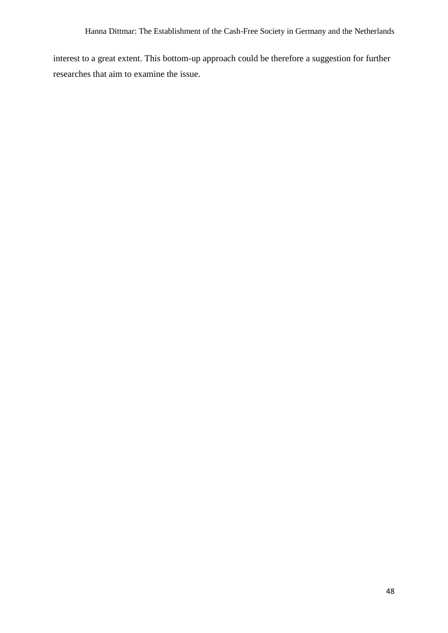interest to a great extent. This bottom-up approach could be therefore a suggestion for further researches that aim to examine the issue.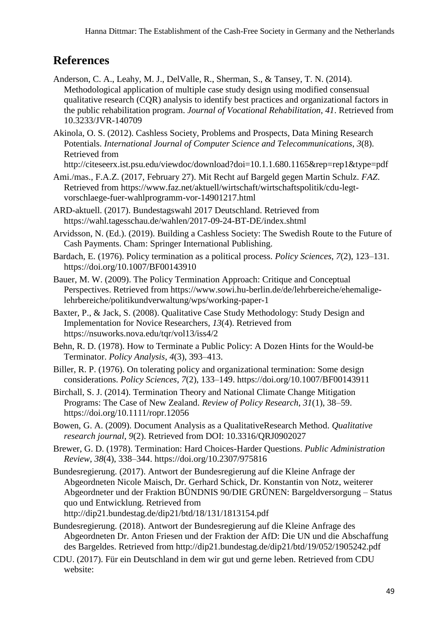# **References**

- Anderson, C. A., Leahy, M. J., DelValle, R., Sherman, S., & Tansey, T. N. (2014). Methodological application of multiple case study design using modified consensual qualitative research (CQR) analysis to identify best practices and organizational factors in the public rehabilitation program. *Journal of Vocational Rehabilitation*, *41*. Retrieved from 10.3233/JVR-140709
- Akinola, O. S. (2012). Cashless Society, Problems and Prospects, Data Mining Research Potentials. *International Journal of Computer Science and Telecommunications*, *3*(8). Retrieved from

http://citeseerx.ist.psu.edu/viewdoc/download?doi=10.1.1.680.1165&rep=rep1&type=pdf

- Ami./mas., F.A.Z. (2017, February 27). Mit Recht auf Bargeld gegen Martin Schulz. *FAZ*. Retrieved from https://www.faz.net/aktuell/wirtschaft/wirtschaftspolitik/cdu-legtvorschlaege-fuer-wahlprogramm-vor-14901217.html
- ARD-aktuell. (2017). Bundestagswahl 2017 Deutschland. Retrieved from https://wahl.tagesschau.de/wahlen/2017-09-24-BT-DE/index.shtml
- Arvidsson, N. (Ed.). (2019). Building a Cashless Society: The Swedish Route to the Future of Cash Payments. Cham: Springer International Publishing.
- Bardach, E. (1976). Policy termination as a political process. *Policy Sciences*, *7*(2), 123–131. https://doi.org/10.1007/BF00143910
- Bauer, M. W. (2009). The Policy Termination Approach: Critique and Conceptual Perspectives. Retrieved from https://www.sowi.hu-berlin.de/de/lehrbereiche/ehemaligelehrbereiche/politikundverwaltung/wps/working-paper-1
- Baxter, P., & Jack, S. (2008). Qualitative Case Study Methodology: Study Design and Implementation for Novice Researchers, *13*(4). Retrieved from https://nsuworks.nova.edu/tqr/vol13/iss4/2
- Behn, R. D. (1978). How to Terminate a Public Policy: A Dozen Hints for the Would-be Terminator. *Policy Analysis*, *4*(3), 393–413.
- Biller, R. P. (1976). On tolerating policy and organizational termination: Some design considerations. *Policy Sciences*, *7*(2), 133–149. https://doi.org/10.1007/BF00143911
- Birchall, S. J. (2014). Termination Theory and National Climate Change Mitigation Programs: The Case of New Zealand. *Review of Policy Research*, *31*(1), 38–59. https://doi.org/10.1111/ropr.12056
- Bowen, G. A. (2009). Document Analysis as a QualitativeResearch Method. *Qualitative research journal*, *9*(2). Retrieved from DOI: 10.3316/QRJ0902027
- Brewer, G. D. (1978). Termination: Hard Choices-Harder Questions. *Public Administration Review*, *38*(4), 338–344. https://doi.org/10.2307/975816
- Bundesregierung. (2017). Antwort der Bundesregierung auf die Kleine Anfrage der Abgeordneten Nicole Maisch, Dr. Gerhard Schick, Dr. Konstantin von Notz, weiterer Abgeordneter und der Fraktion BÜNDNIS 90/DIE GRÜNEN: Bargeldversorgung – Status quo und Entwicklung. Retrieved from http://dip21.bundestag.de/dip21/btd/18/131/1813154.pdf
- Bundesregierung. (2018). Antwort der Bundesregierung auf die Kleine Anfrage des Abgeordneten Dr. Anton Friesen und der Fraktion der AfD: Die UN und die Abschaffung des Bargeldes. Retrieved from http://dip21.bundestag.de/dip21/btd/19/052/1905242.pdf
- CDU. (2017). Für ein Deutschland in dem wir gut und gerne leben. Retrieved from CDU website: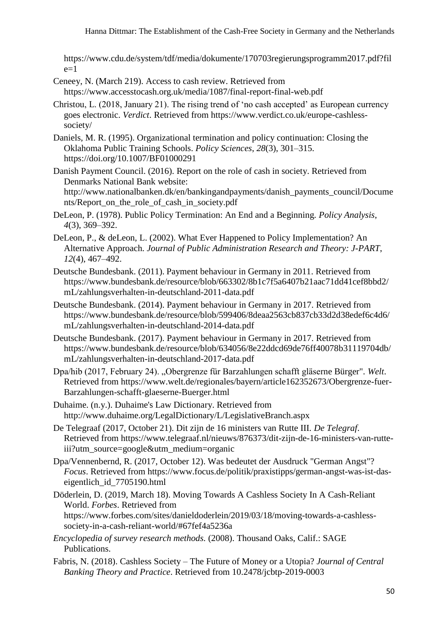https://www.cdu.de/system/tdf/media/dokumente/170703regierungsprogramm2017.pdf?fil  $e=1$ 

- Ceneey, N. (March 219). Access to cash review. Retrieved from https://www.accesstocash.org.uk/media/1087/final-report-final-web.pdf
- Christou, L. (2018, January 21). The rising trend of 'no cash accepted' as European currency goes electronic. *Verdict*. Retrieved from https://www.verdict.co.uk/europe-cashlesssociety/
- Daniels, M. R. (1995). Organizational termination and policy continuation: Closing the Oklahoma Public Training Schools. *Policy Sciences*, *28*(3), 301–315. https://doi.org/10.1007/BF01000291
- Danish Payment Council. (2016). Report on the role of cash in society. Retrieved from Denmarks National Bank website: http://www.nationalbanken.dk/en/bankingandpayments/danish\_payments\_council/Docume nts/Report on the role of cash in society.pdf
- DeLeon, P. (1978). Public Policy Termination: An End and a Beginning. *Policy Analysis*, *4*(3), 369–392.
- DeLeon, P., & deLeon, L. (2002). What Ever Happened to Policy Implementation? An Alternative Approach. *Journal of Public Administration Research and Theory: J-PART*, *12*(4), 467–492.
- Deutsche Bundesbank. (2011). Payment behaviour in Germany in 2011. Retrieved from https://www.bundesbank.de/resource/blob/663302/8b1c7f5a6407b21aac71dd41cef8bbd2/ mL/zahlungsverhalten-in-deutschland-2011-data.pdf
- Deutsche Bundesbank. (2014). Payment behaviour in Germany in 2017. Retrieved from https://www.bundesbank.de/resource/blob/599406/8deaa2563cb837cb33d2d38edef6c4d6/ mL/zahlungsverhalten-in-deutschland-2014-data.pdf
- Deutsche Bundesbank. (2017). Payment behaviour in Germany in 2017. Retrieved from https://www.bundesbank.de/resource/blob/634056/8e22ddcd69de76ff40078b31119704db/ mL/zahlungsverhalten-in-deutschland-2017-data.pdf
- Dpa/hib (2017, February 24). "Obergrenze für Barzahlungen schafft gläserne Bürger". *Welt*. Retrieved from https://www.welt.de/regionales/bayern/article162352673/Obergrenze-fuer-Barzahlungen-schafft-glaeserne-Buerger.html
- Duhaime. (n.y.). Duhaime's Law Dictionary. Retrieved from http://www.duhaime.org/LegalDictionary/L/LegislativeBranch.aspx
- De Telegraaf (2017, October 21). Dit zijn de 16 ministers van Rutte III. *De Telegraf*. Retrieved from https://www.telegraaf.nl/nieuws/876373/dit-zijn-de-16-ministers-van-rutteiii?utm\_source=google&utm\_medium=organic
- Dpa/Vennenbernd, R. (2017, October 12). Was bedeutet der Ausdruck "German Angst"? *Focus*. Retrieved from https://www.focus.de/politik/praxistipps/german-angst-was-ist-daseigentlich\_id\_7705190.html
- Döderlein, D. (2019, March 18). Moving Towards A Cashless Society In A Cash-Reliant World. *Forbes*. Retrieved from https://www.forbes.com/sites/danieldoderlein/2019/03/18/moving-towards-a-cashlesssociety-in-a-cash-reliant-world/#67fef4a5236a
- *Encyclopedia of survey research methods.* (2008). Thousand Oaks, Calif.: SAGE Publications.
- Fabris, N. (2018). Cashless Society The Future of Money or a Utopia? *Journal of Central Banking Theory and Practice*. Retrieved from 10.2478/jcbtp-2019-0003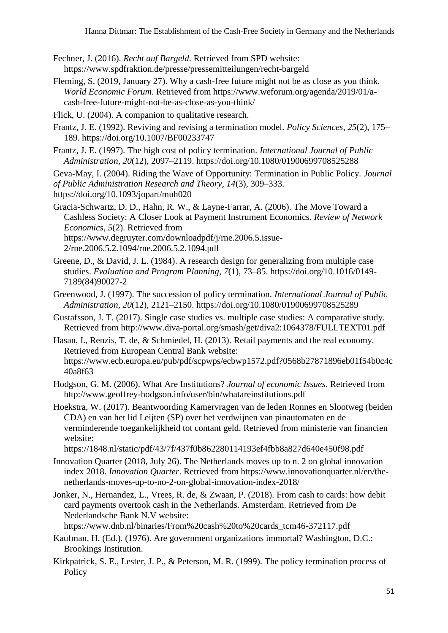- Fechner, J. (2016). *Recht auf Bargeld*. Retrieved from SPD website: https://www.spdfraktion.de/presse/pressemitteilungen/recht-bargeld
- Fleming, S. (2019, January 27). Why a cash-free future might not be as close as you think. *World Economic Forum*. Retrieved from https://www.weforum.org/agenda/2019/01/acash-free-future-might-not-be-as-close-as-you-think/
- Flick, U. (2004). A companion to qualitative research.
- Frantz, J. E. (1992). Reviving and revising a termination model. *Policy Sciences*, *25*(2), 175– 189. https://doi.org/10.1007/BF00233747
- Frantz, J. E. (1997). The high cost of policy termination. *International Journal of Public Administration*, *20*(12), 2097–2119. https://doi.org/10.1080/01900699708525288

Geva-May, I. (2004). Riding the Wave of Opportunity: Termination in Public Policy. *Journal of Public Administration Research and Theory*, *14*(3), 309–333. https://doi.org/10.1093/jopart/muh020

Gracia-Schwartz, D. D., Hahn, R. W., & Layne-Farrar, A. (2006). The Move Toward a Cashless Society: A Closer Look at Payment Instrument Economics. *Review of Network Economics*, *5*(2). Retrieved from https://www.degruyter.com/downloadpdf/j/rne.2006.5.issue-2/rne.2006.5.2.1094/rne.2006.5.2.1094.pdf

- Greene, D., & David, J. L. (1984). A research design for generalizing from multiple case studies. *Evaluation and Program Planning*, *7*(1), 73–85. https://doi.org/10.1016/0149- 7189(84)90027-2
- Greenwood, J. (1997). The succession of policy termination. *International Journal of Public Administration*, *20*(12), 2121–2150. https://doi.org/10.1080/01900699708525289
- Gustafsson, J. T. (2017). Single case studies vs. multiple case studies: A comparative study. Retrieved from http://www.diva-portal.org/smash/get/diva2:1064378/FULLTEXT01.pdf
- Hasan, I., Renzis, T. de, & Schmiedel, H. (2013). Retail payments and the real economy. Retrieved from European Central Bank website: https://www.ecb.europa.eu/pub/pdf/scpwps/ecbwp1572.pdf?0568b27871896eb01f54b0c4c 40a8f63
- Hodgson, G. M. (2006). What Are Institutions? *Journal of economic Issues*. Retrieved from http://www.geoffrey-hodgson.info/user/bin/whatareinstitutions.pdf
- Hoekstra, W. (2017). Beantwoording Kamervragen van de leden Ronnes en Slootweg (beiden CDA) en van het lid Leijten (SP) over het verdwijnen van pinautomaten en de verminderende toegankelijkheid tot contant geld. Retrieved from ministerie van financien website:

https://1848.nl/static/pdf/43/7f/437f0b862280114193ef4fbb8a827d640e450f98.pdf

- Innovation Quarter (2018, July 26). The Netherlands moves up to n. 2 on global innovation index 2018. *Innovation Quarter*. Retrieved from https://www.innovationquarter.nl/en/thenetherlands-moves-up-to-no-2-on-global-innovation-index-2018/
- Jonker, N., Hernandez, L., Vrees, R. de, & Zwaan, P. (2018). From cash to cards: how debit card payments overtook cash in the Netherlands. Amsterdam. Retrieved from De Nederlandsche Bank N.V website:

https://www.dnb.nl/binaries/From%20cash%20to%20cards\_tcm46-372117.pdf

- Kaufman, H. (Ed.). (1976). Are government organizations immortal? Washington, D.C.: Brookings Institution.
- Kirkpatrick, S. E., Lester, J. P., & Peterson, M. R. (1999). The policy termination process of **Policy**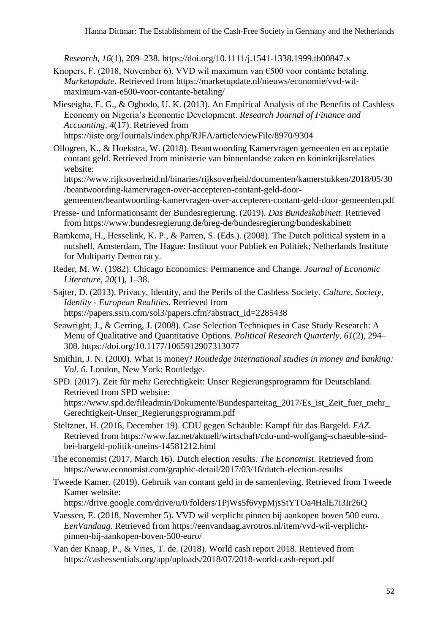*Research*, *16*(1), 209–238. https://doi.org/10.1111/j.1541-1338.1999.tb00847.x

- Knopers, F. (2018, November 6). VVD wil maximum van  $\epsilon$ 500 voor contante betaling. *Marketupdate*. Retrieved from https://marketupdate.nl/nieuws/economie/vvd-wilmaximum-van-e500-voor-contante-betaling/
- Mieseigha, E. G., & Ogbodo, U. K. (2013). An Empirical Analysis of the Benefits of Cashless Economy on Nigeria's Economic Development. *Research Journal of Finance and Accounting*, *4*(17). Retrieved from https://iiste.org/Journals/index.php/RJFA/article/viewFile/8970/9304
- Ollogren, K., & Hoekstra, W. (2018). Beantwoording Kamervragen gemeenten en acceptatie contant geld. Retrieved from ministerie van binnenlandse zaken en koninkrijksrelaties website:

https://www.rijksoverheid.nl/binaries/rijksoverheid/documenten/kamerstukken/2018/05/30 /beantwoording-kamervragen-over-accepteren-contant-geld-doorgemeenten/beantwoording-kamervragen-over-accepteren-contant-geld-door-gemeenten.pdf

Presse- und Informationsamt der Bundesregierung. (2019). *Das Bundeskabinett*. Retrieved

from https://www.bundesregierung.de/breg-de/bundesregierung/bundeskabinett

Ramkema, H., Hesselink, K. P., & Parren, S. (Eds.). (2008). The Dutch political system in a nutshell. Amsterdam, The Hague: Instituut voor Publiek en Politiek; Netherlands Institute for Multiparty Democracy.

Reder, M. W. (1982). Chicago Economics: Permanence and Change. *Journal of Economic Literature*, *20*(1), 1–38.

Sajter, D. (2013). Privacy, Identity, and the Perils of the Cashless Society. *Culture, Society, Identity - European Realities*. Retrieved from https://papers.ssrn.com/sol3/papers.cfm?abstract\_id=2285438

Seawright, J., & Gerring, J. (2008). Case Selection Techniques in Case Study Research: A Menu of Qualitative and Quantitative Options. *Political Research Quarterly*, *61*(2), 294– 308. https://doi.org/10.1177/1065912907313077

Smithin, J. N. (2000). What is money? *Routledge international studies in money and banking: Vol. 6*. London, New York: Routledge.

- SPD. (2017). Zeit für mehr Gerechtigkeit: Unser Regierungsprogramm für Deutschland. Retrieved from SPD website: https://www.spd.de/fileadmin/Dokumente/Bundesparteitag\_2017/Es\_ist\_Zeit\_fuer\_mehr\_ Gerechtigkeit-Unser\_Regierungsprogramm.pdf
- Steltzner, H. (2016, December 19). CDU gegen Schäuble: Kampf für das Bargeld. *FAZ*. Retrieved from https://www.faz.net/aktuell/wirtschaft/cdu-und-wolfgang-schaeuble-sindbei-bargeld-politik-uneins-14581212.html
- The economist (2017, March 16). Dutch election results. *The Economist*. Retrieved from https://www.economist.com/graphic-detail/2017/03/16/dutch-election-results
- Tweede Kamer. (2019). Gebruik van contant geld in de samenleving. Retrieved from Tweede Kamer website:

https://drive.google.com/drive/u/0/folders/1PjWs5f6vypMjsStYTOa4HalE7i3Ir26Q

Vaessen, E. (2018, November 5). VVD wil verplicht pinnen bij aankopen boven 500 euro. *EenVandaag*. Retrieved from https://eenvandaag.avrotros.nl/item/vvd-wil-verplichtpinnen-bij-aankopen-boven-500-euro/

Van der Knaap, P., & Vries, T. de. (2018). World cash report 2018. Retrieved from https://cashessentials.org/app/uploads/2018/07/2018-world-cash-report.pdf